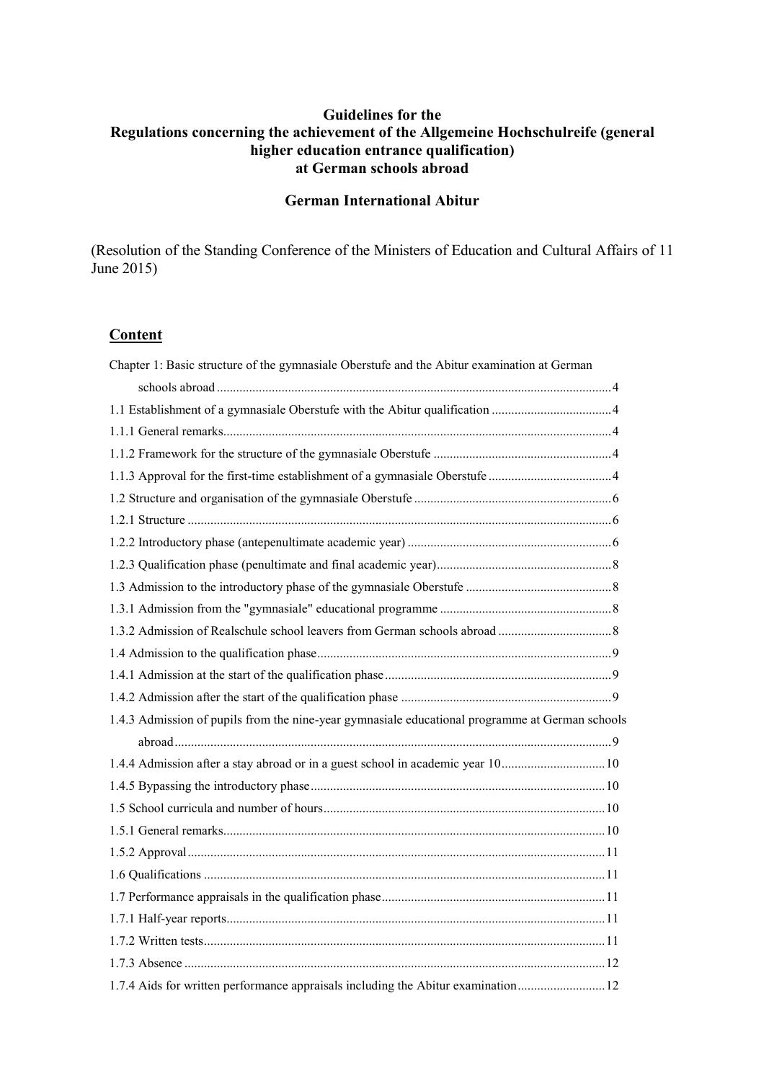### **Guidelines for the Regulations concerning the achievement of the Allgemeine Hochschulreife (general higher education entrance qualification) at German schools abroad**

#### **German International Abitur**

(Resolution of the Standing Conference of the Ministers of Education and Cultural Affairs of 11 June 2015)

# **Content**

| Chapter 1: Basic structure of the gymnasiale Oberstufe and the Abitur examination at German     |  |
|-------------------------------------------------------------------------------------------------|--|
|                                                                                                 |  |
|                                                                                                 |  |
|                                                                                                 |  |
|                                                                                                 |  |
|                                                                                                 |  |
|                                                                                                 |  |
|                                                                                                 |  |
|                                                                                                 |  |
|                                                                                                 |  |
|                                                                                                 |  |
|                                                                                                 |  |
|                                                                                                 |  |
|                                                                                                 |  |
|                                                                                                 |  |
|                                                                                                 |  |
| 1.4.3 Admission of pupils from the nine-year gymnasiale educational programme at German schools |  |
|                                                                                                 |  |
|                                                                                                 |  |
|                                                                                                 |  |
|                                                                                                 |  |
|                                                                                                 |  |
|                                                                                                 |  |
|                                                                                                 |  |
|                                                                                                 |  |
|                                                                                                 |  |
|                                                                                                 |  |
|                                                                                                 |  |
| 1.7.4 Aids for written performance appraisals including the Abitur examination                  |  |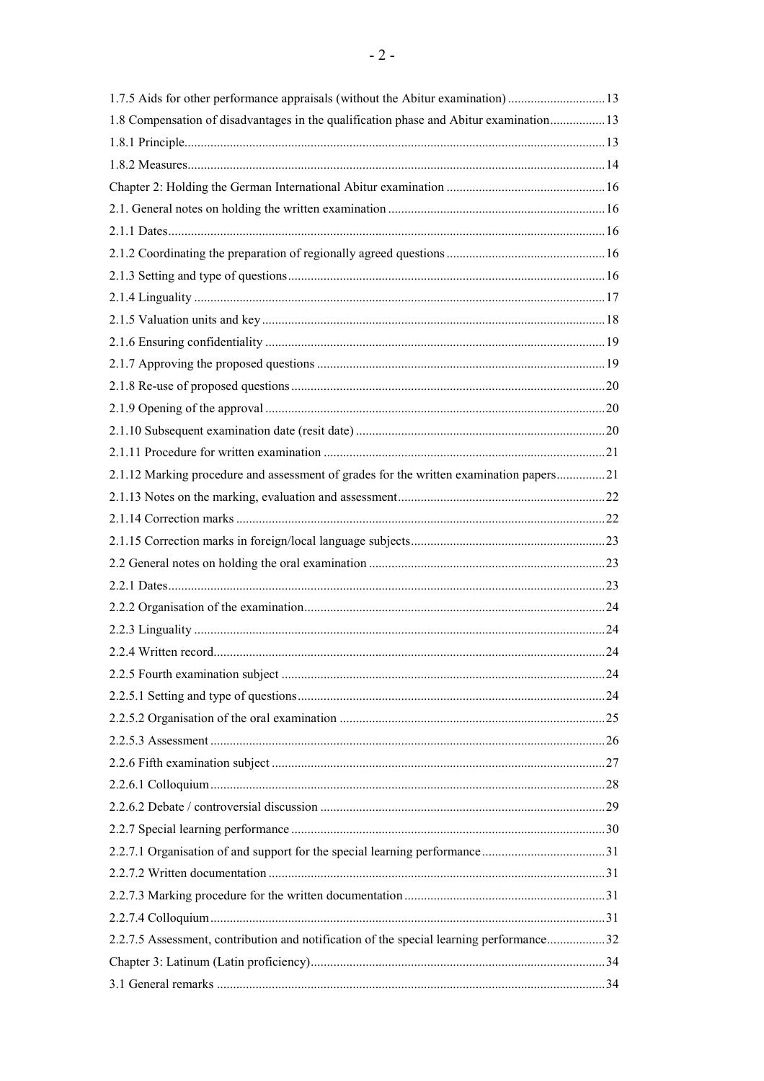| 1.8 Compensation of disadvantages in the qualification phase and Abitur examination 13  |  |
|-----------------------------------------------------------------------------------------|--|
|                                                                                         |  |
|                                                                                         |  |
|                                                                                         |  |
|                                                                                         |  |
|                                                                                         |  |
|                                                                                         |  |
|                                                                                         |  |
|                                                                                         |  |
|                                                                                         |  |
|                                                                                         |  |
|                                                                                         |  |
|                                                                                         |  |
|                                                                                         |  |
|                                                                                         |  |
|                                                                                         |  |
| 2.1.12 Marking procedure and assessment of grades for the written examination papers21  |  |
|                                                                                         |  |
|                                                                                         |  |
|                                                                                         |  |
|                                                                                         |  |
|                                                                                         |  |
|                                                                                         |  |
|                                                                                         |  |
|                                                                                         |  |
|                                                                                         |  |
|                                                                                         |  |
|                                                                                         |  |
|                                                                                         |  |
|                                                                                         |  |
|                                                                                         |  |
|                                                                                         |  |
|                                                                                         |  |
|                                                                                         |  |
|                                                                                         |  |
|                                                                                         |  |
|                                                                                         |  |
| 2.2.7.5 Assessment, contribution and notification of the special learning performance32 |  |
|                                                                                         |  |
|                                                                                         |  |
|                                                                                         |  |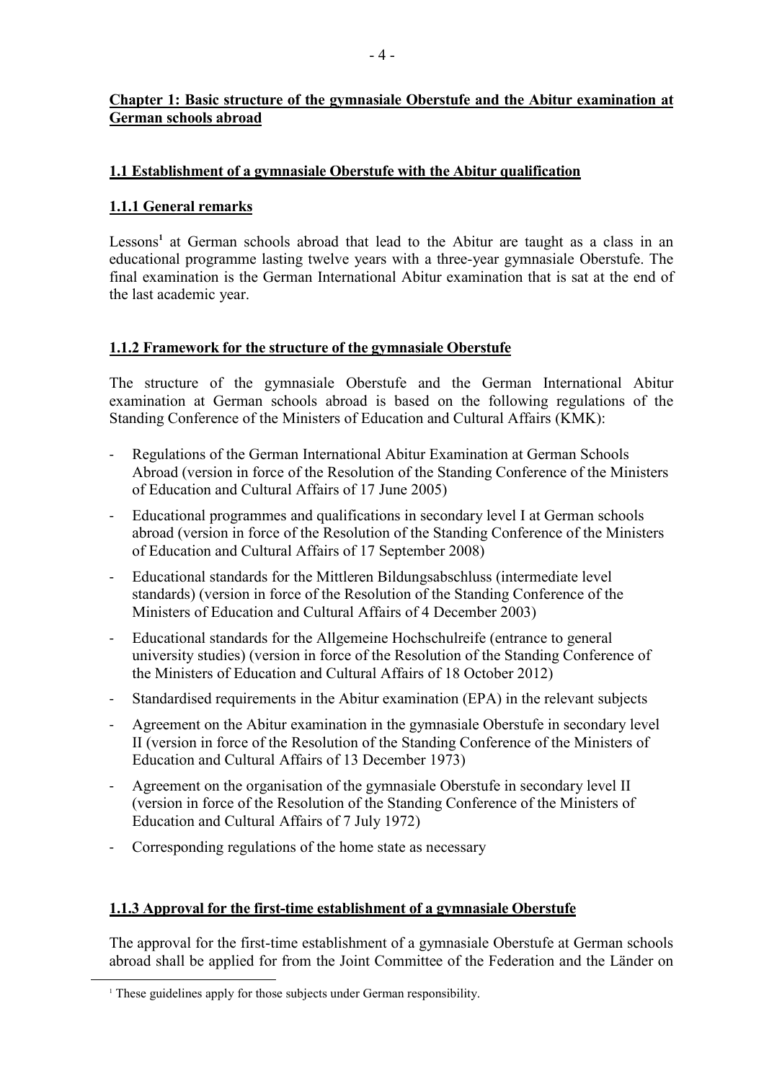# **Chapter 1: Basic structure of the gymnasiale Oberstufe and the Abitur examination at German schools abroad**

## **1.1 Establishment of a gymnasiale Oberstufe with the Abitur qualification**

# **1.1.1 General remarks**

Lessons<sup>1</sup> at German schools abroad that lead to the Abitur are taught as a class in an educational programme lasting twelve years with a three-year gymnasiale Oberstufe. The final examination is the German International Abitur examination that is sat at the end of the last academic year.

## **1.1.2 Framework for the structure of the gymnasiale Oberstufe**

The structure of the gymnasiale Oberstufe and the German International Abitur examination at German schools abroad is based on the following regulations of the Standing Conference of the Ministers of Education and Cultural Affairs (KMK):

- Regulations of the German International Abitur Examination at German Schools Abroad (version in force of the Resolution of the Standing Conference of the Ministers of Education and Cultural Affairs of 17 June 2005)
- Educational programmes and qualifications in secondary level I at German schools abroad (version in force of the Resolution of the Standing Conference of the Ministers of Education and Cultural Affairs of 17 September 2008)
- Educational standards for the Mittleren Bildungsabschluss (intermediate level standards) (version in force of the Resolution of the Standing Conference of the Ministers of Education and Cultural Affairs of 4 December 2003)
- Educational standards for the Allgemeine Hochschulreife (entrance to general university studies) (version in force of the Resolution of the Standing Conference of the Ministers of Education and Cultural Affairs of 18 October 2012)
- Standardised requirements in the Abitur examination (EPA) in the relevant subjects
- Agreement on the Abitur examination in the gymnasiale Oberstufe in secondary level II (version in force of the Resolution of the Standing Conference of the Ministers of Education and Cultural Affairs of 13 December 1973)
- Agreement on the organisation of the gymnasiale Oberstufe in secondary level II (version in force of the Resolution of the Standing Conference of the Ministers of Education and Cultural Affairs of 7 July 1972)
- Corresponding regulations of the home state as necessary

## **1.1.3 Approval for the first-time establishment of a gymnasiale Oberstufe**

The approval for the first-time establishment of a gymnasiale Oberstufe at German schools abroad shall be applied for from the Joint Committee of the Federation and the Länder on

 $\overline{a}$ 

<sup>&</sup>lt;sup>1</sup> These guidelines apply for those subjects under German responsibility.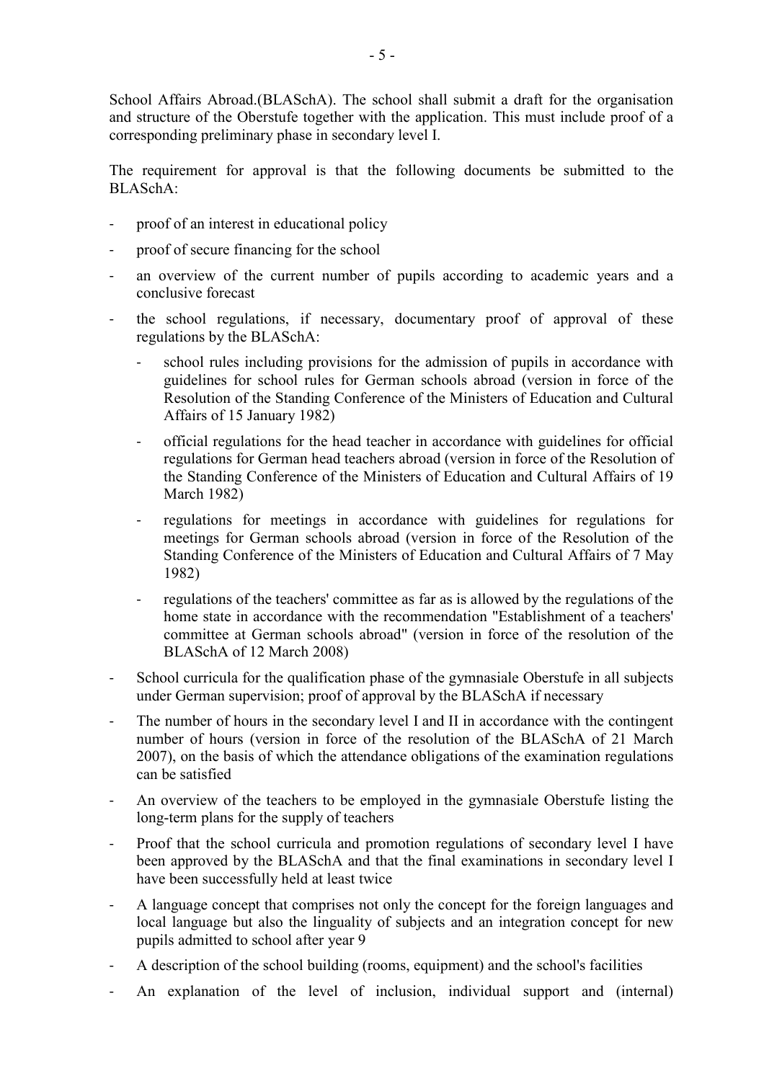School Affairs Abroad.(BLASchA). The school shall submit a draft for the organisation and structure of the Oberstufe together with the application. This must include proof of a corresponding preliminary phase in secondary level I.

The requirement for approval is that the following documents be submitted to the BLASchA:

- proof of an interest in educational policy
- proof of secure financing for the school
- an overview of the current number of pupils according to academic years and a conclusive forecast
- the school regulations, if necessary, documentary proof of approval of these regulations by the BLASchA:
	- school rules including provisions for the admission of pupils in accordance with guidelines for school rules for German schools abroad (version in force of the Resolution of the Standing Conference of the Ministers of Education and Cultural Affairs of 15 January 1982)
	- official regulations for the head teacher in accordance with guidelines for official regulations for German head teachers abroad (version in force of the Resolution of the Standing Conference of the Ministers of Education and Cultural Affairs of 19 March 1982)
	- regulations for meetings in accordance with guidelines for regulations for meetings for German schools abroad (version in force of the Resolution of the Standing Conference of the Ministers of Education and Cultural Affairs of 7 May 1982)
	- regulations of the teachers' committee as far as is allowed by the regulations of the home state in accordance with the recommendation "Establishment of a teachers' committee at German schools abroad" (version in force of the resolution of the BLASchA of 12 March 2008)
- School curricula for the qualification phase of the gymnasiale Oberstufe in all subjects under German supervision; proof of approval by the BLASchA if necessary
- The number of hours in the secondary level I and II in accordance with the contingent number of hours (version in force of the resolution of the BLASchA of 21 March 2007), on the basis of which the attendance obligations of the examination regulations can be satisfied
- An overview of the teachers to be employed in the gymnasiale Oberstufe listing the long-term plans for the supply of teachers
- Proof that the school curricula and promotion regulations of secondary level I have been approved by the BLASchA and that the final examinations in secondary level I have been successfully held at least twice
- A language concept that comprises not only the concept for the foreign languages and local language but also the linguality of subjects and an integration concept for new pupils admitted to school after year 9
- A description of the school building (rooms, equipment) and the school's facilities
- An explanation of the level of inclusion, individual support and (internal)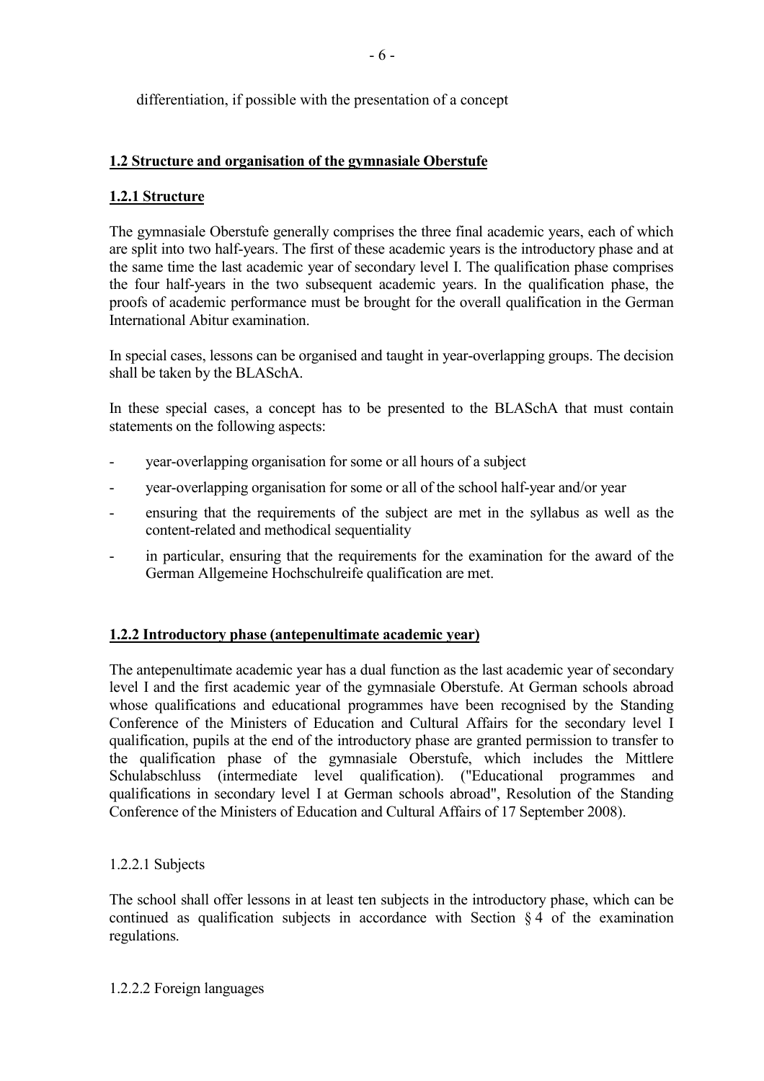differentiation, if possible with the presentation of a concept

# **1.2 Structure and organisation of the gymnasiale Oberstufe**

# **1.2.1 Structure**

The gymnasiale Oberstufe generally comprises the three final academic years, each of which are split into two half-years. The first of these academic years is the introductory phase and at the same time the last academic year of secondary level I. The qualification phase comprises the four half-years in the two subsequent academic years. In the qualification phase, the proofs of academic performance must be brought for the overall qualification in the German International Abitur examination.

In special cases, lessons can be organised and taught in year-overlapping groups. The decision shall be taken by the BLASchA.

In these special cases, a concept has to be presented to the BLASchA that must contain statements on the following aspects:

- year-overlapping organisation for some or all hours of a subject
- year-overlapping organisation for some or all of the school half-year and/or year
- ensuring that the requirements of the subject are met in the syllabus as well as the content-related and methodical sequentiality
- in particular, ensuring that the requirements for the examination for the award of the German Allgemeine Hochschulreife qualification are met.

## **1.2.2 Introductory phase (antepenultimate academic year)**

The antepenultimate academic year has a dual function as the last academic year of secondary level I and the first academic year of the gymnasiale Oberstufe. At German schools abroad whose qualifications and educational programmes have been recognised by the Standing Conference of the Ministers of Education and Cultural Affairs for the secondary level I qualification, pupils at the end of the introductory phase are granted permission to transfer to the qualification phase of the gymnasiale Oberstufe, which includes the Mittlere Schulabschluss (intermediate level qualification). ("Educational programmes and qualifications in secondary level I at German schools abroad", Resolution of the Standing Conference of the Ministers of Education and Cultural Affairs of 17 September 2008).

## 1.2.2.1 Subjects

The school shall offer lessons in at least ten subjects in the introductory phase, which can be continued as qualification subjects in accordance with Section § 4 of the examination regulations.

#### 1.2.2.2 Foreign languages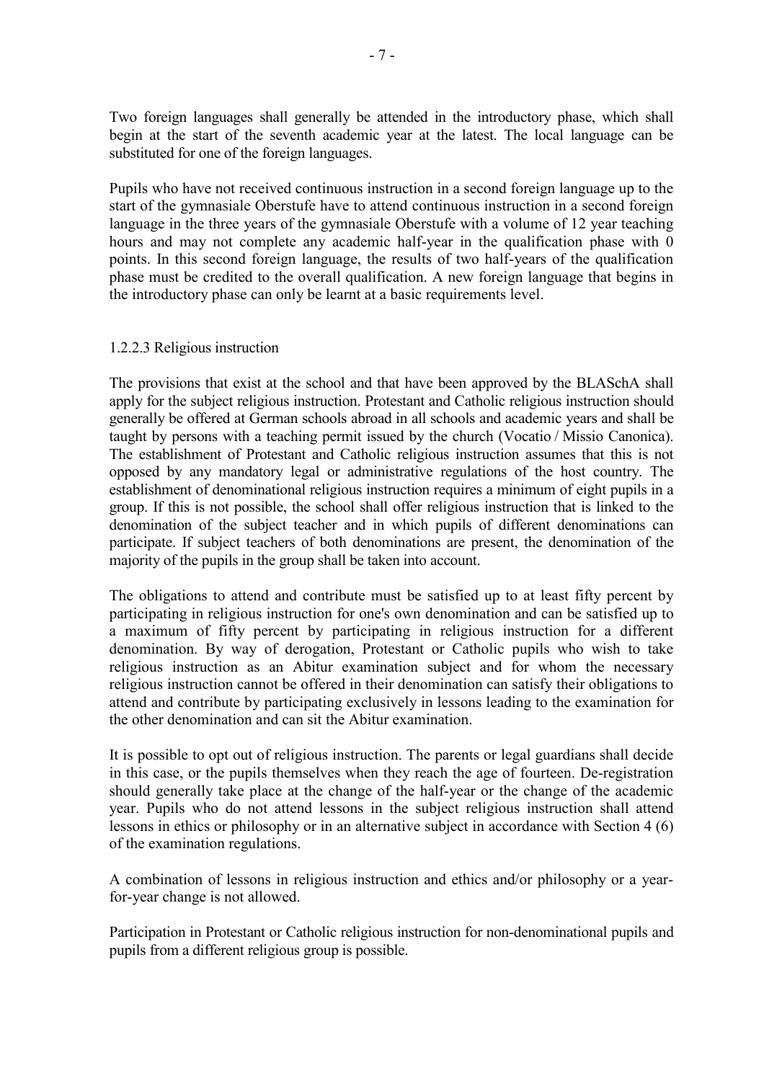Two foreign languages shall generally be attended in the introductory phase, which shall begin at the start of the seventh academic year at the latest. The local language can be substituted for one of the foreign languages.

Pupils who have not received continuous instruction in a second foreign language up to the start of the gymnasiale Oberstufe have to attend continuous instruction in a second foreign language in the three years of the gymnasiale Oberstufe with a volume of 12 year teaching hours and may not complete any academic half-year in the qualification phase with 0 points. In this second foreign language, the results of two half-years of the qualification phase must be credited to the overall qualification. A new foreign language that begins in the introductory phase can only be learnt at a basic requirements level.

#### 1.2.2.3 Religious instruction

The provisions that exist at the school and that have been approved by the BLASchA shall apply for the subject religious instruction. Protestant and Catholic religious instruction should generally be offered at German schools abroad in all schools and academic years and shall be taught by persons with a teaching permit issued by the church (Vocatio / Missio Canonica). The establishment of Protestant and Catholic religious instruction assumes that this is not opposed by any mandatory legal or administrative regulations of the host country. The establishment of denominational religious instruction requires a minimum of eight pupils in a group. If this is not possible, the school shall offer religious instruction that is linked to the denomination of the subject teacher and in which pupils of different denominations can participate. If subject teachers of both denominations are present, the denomination of the majority of the pupils in the group shall be taken into account.

The obligations to attend and contribute must be satisfied up to at least fifty percent by participating in religious instruction for one's own denomination and can be satisfied up to a maximum of fifty percent by participating in religious instruction for a different denomination. By way of derogation, Protestant or Catholic pupils who wish to take religious instruction as an Abitur examination subject and for whom the necessary religious instruction cannot be offered in their denomination can satisfy their obligations to attend and contribute by participating exclusively in lessons leading to the examination for the other denomination and can sit the Abitur examination.

It is possible to opt out of religious instruction. The parents or legal guardians shall decide in this case, or the pupils themselves when they reach the age of fourteen. De-registration should generally take place at the change of the half-year or the change of the academic year. Pupils who do not attend lessons in the subject religious instruction shall attend lessons in ethics or philosophy or in an alternative subject in accordance with Section 4 (6) of the examination regulations.

A combination of lessons in religious instruction and ethics and/or philosophy or a yearfor-year change is not allowed.

Participation in Protestant or Catholic religious instruction for non-denominational pupils and pupils from a different religious group is possible.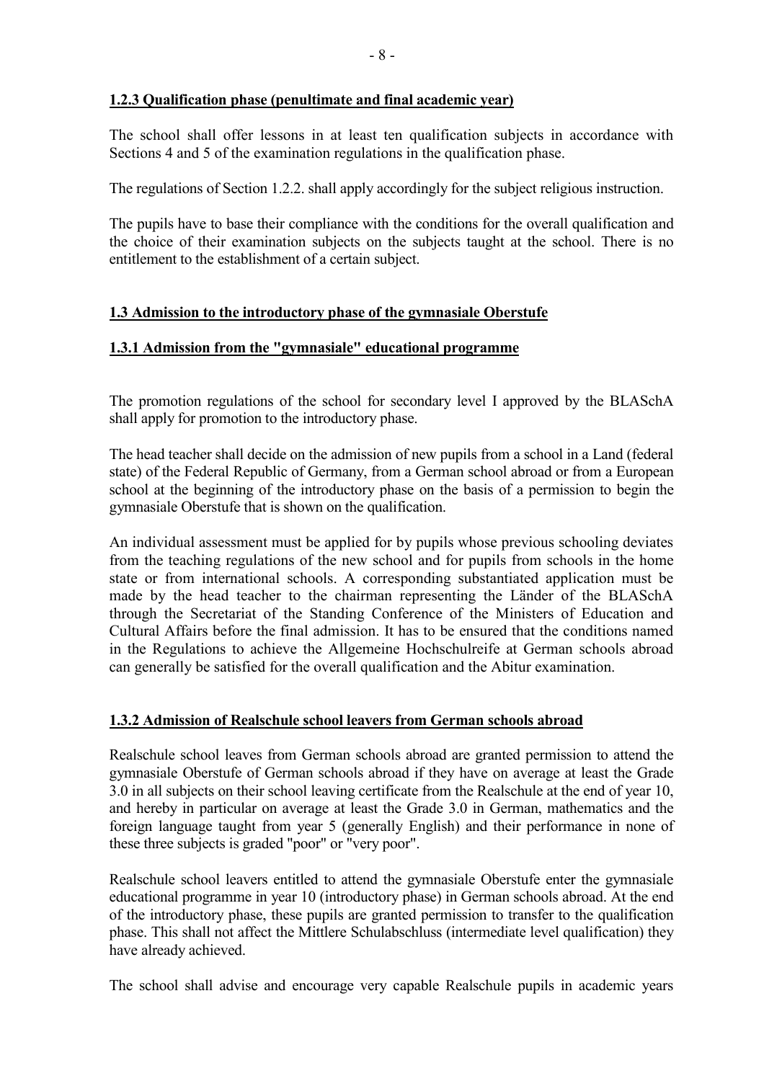### **1.2.3 Qualification phase (penultimate and final academic year)**

The school shall offer lessons in at least ten qualification subjects in accordance with Sections 4 and 5 of the examination regulations in the qualification phase.

The regulations of Section 1.2.2. shall apply accordingly for the subject religious instruction.

The pupils have to base their compliance with the conditions for the overall qualification and the choice of their examination subjects on the subjects taught at the school. There is no entitlement to the establishment of a certain subject.

### **1.3 Admission to the introductory phase of the gymnasiale Oberstufe**

#### **1.3.1 Admission from the "gymnasiale" educational programme**

The promotion regulations of the school for secondary level I approved by the BLASchA shall apply for promotion to the introductory phase.

The head teacher shall decide on the admission of new pupils from a school in a Land (federal state) of the Federal Republic of Germany, from a German school abroad or from a European school at the beginning of the introductory phase on the basis of a permission to begin the gymnasiale Oberstufe that is shown on the qualification.

An individual assessment must be applied for by pupils whose previous schooling deviates from the teaching regulations of the new school and for pupils from schools in the home state or from international schools. A corresponding substantiated application must be made by the head teacher to the chairman representing the Länder of the BLASchA through the Secretariat of the Standing Conference of the Ministers of Education and Cultural Affairs before the final admission. It has to be ensured that the conditions named in the Regulations to achieve the Allgemeine Hochschulreife at German schools abroad can generally be satisfied for the overall qualification and the Abitur examination.

#### **1.3.2 Admission of Realschule school leavers from German schools abroad**

Realschule school leaves from German schools abroad are granted permission to attend the gymnasiale Oberstufe of German schools abroad if they have on average at least the Grade 3.0 in all subjects on their school leaving certificate from the Realschule at the end of year 10, and hereby in particular on average at least the Grade 3.0 in German, mathematics and the foreign language taught from year 5 (generally English) and their performance in none of these three subjects is graded "poor" or "very poor".

Realschule school leavers entitled to attend the gymnasiale Oberstufe enter the gymnasiale educational programme in year 10 (introductory phase) in German schools abroad. At the end of the introductory phase, these pupils are granted permission to transfer to the qualification phase. This shall not affect the Mittlere Schulabschluss (intermediate level qualification) they have already achieved.

The school shall advise and encourage very capable Realschule pupils in academic years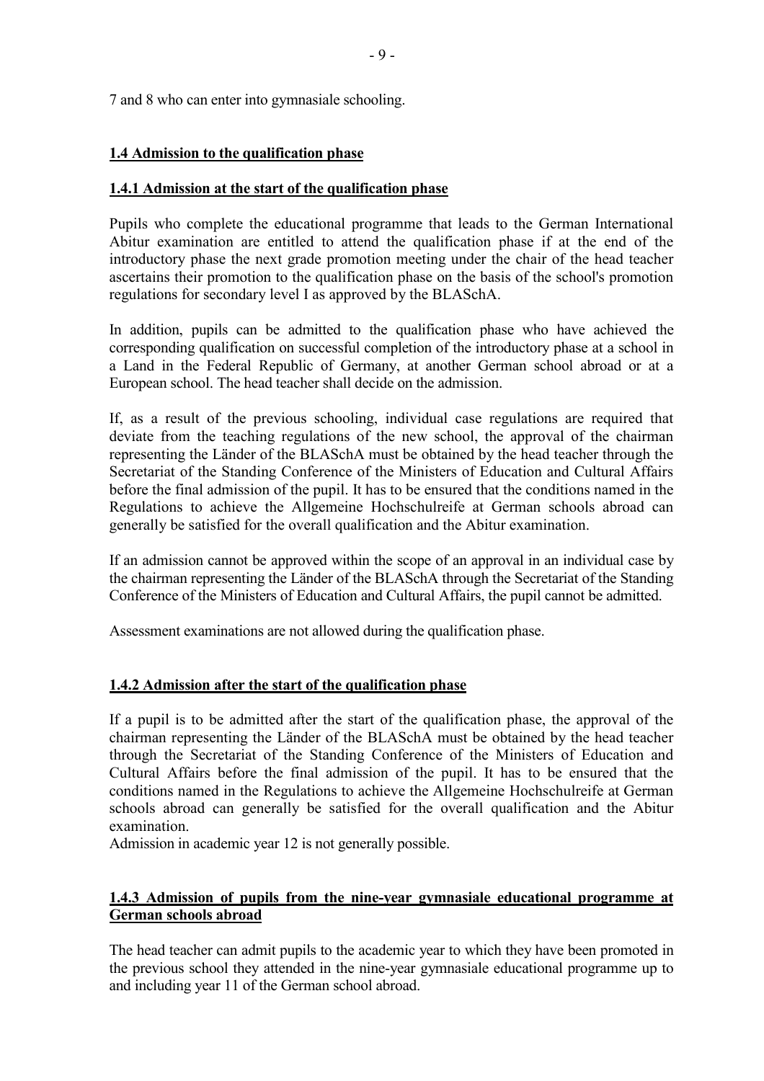7 and 8 who can enter into gymnasiale schooling.

### **1.4 Admission to the qualification phase**

#### **1.4.1 Admission at the start of the qualification phase**

Pupils who complete the educational programme that leads to the German International Abitur examination are entitled to attend the qualification phase if at the end of the introductory phase the next grade promotion meeting under the chair of the head teacher ascertains their promotion to the qualification phase on the basis of the school's promotion regulations for secondary level I as approved by the BLASchA.

In addition, pupils can be admitted to the qualification phase who have achieved the corresponding qualification on successful completion of the introductory phase at a school in a Land in the Federal Republic of Germany, at another German school abroad or at a European school. The head teacher shall decide on the admission.

If, as a result of the previous schooling, individual case regulations are required that deviate from the teaching regulations of the new school, the approval of the chairman representing the Länder of the BLASchA must be obtained by the head teacher through the Secretariat of the Standing Conference of the Ministers of Education and Cultural Affairs before the final admission of the pupil. It has to be ensured that the conditions named in the Regulations to achieve the Allgemeine Hochschulreife at German schools abroad can generally be satisfied for the overall qualification and the Abitur examination.

If an admission cannot be approved within the scope of an approval in an individual case by the chairman representing the Länder of the BLASchA through the Secretariat of the Standing Conference of the Ministers of Education and Cultural Affairs, the pupil cannot be admitted.

Assessment examinations are not allowed during the qualification phase.

#### **1.4.2 Admission after the start of the qualification phase**

If a pupil is to be admitted after the start of the qualification phase, the approval of the chairman representing the Länder of the BLASchA must be obtained by the head teacher through the Secretariat of the Standing Conference of the Ministers of Education and Cultural Affairs before the final admission of the pupil. It has to be ensured that the conditions named in the Regulations to achieve the Allgemeine Hochschulreife at German schools abroad can generally be satisfied for the overall qualification and the Abitur examination.

Admission in academic year 12 is not generally possible.

## **1.4.3 Admission of pupils from the nine-year gymnasiale educational programme at German schools abroad**

The head teacher can admit pupils to the academic year to which they have been promoted in the previous school they attended in the nine-year gymnasiale educational programme up to and including year 11 of the German school abroad.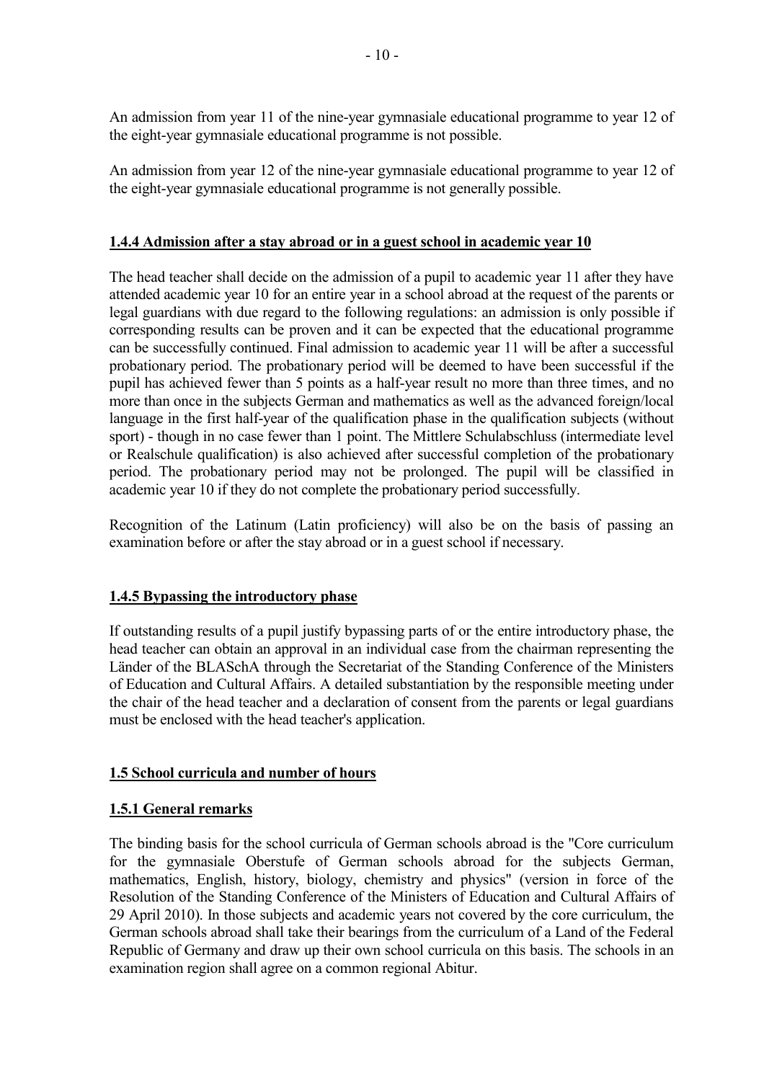An admission from year 11 of the nine-year gymnasiale educational programme to year 12 of the eight-year gymnasiale educational programme is not possible.

An admission from year 12 of the nine-year gymnasiale educational programme to year 12 of the eight-year gymnasiale educational programme is not generally possible.

## **1.4.4 Admission after a stay abroad or in a guest school in academic year 10**

The head teacher shall decide on the admission of a pupil to academic year 11 after they have attended academic year 10 for an entire year in a school abroad at the request of the parents or legal guardians with due regard to the following regulations: an admission is only possible if corresponding results can be proven and it can be expected that the educational programme can be successfully continued. Final admission to academic year 11 will be after a successful probationary period. The probationary period will be deemed to have been successful if the pupil has achieved fewer than 5 points as a half-year result no more than three times, and no more than once in the subjects German and mathematics as well as the advanced foreign/local language in the first half-year of the qualification phase in the qualification subjects (without sport) - though in no case fewer than 1 point. The Mittlere Schulabschluss (intermediate level or Realschule qualification) is also achieved after successful completion of the probationary period. The probationary period may not be prolonged. The pupil will be classified in academic year 10 if they do not complete the probationary period successfully.

Recognition of the Latinum (Latin proficiency) will also be on the basis of passing an examination before or after the stay abroad or in a guest school if necessary.

## **1.4.5 Bypassing the introductory phase**

If outstanding results of a pupil justify bypassing parts of or the entire introductory phase, the head teacher can obtain an approval in an individual case from the chairman representing the Länder of the BLASchA through the Secretariat of the Standing Conference of the Ministers of Education and Cultural Affairs. A detailed substantiation by the responsible meeting under the chair of the head teacher and a declaration of consent from the parents or legal guardians must be enclosed with the head teacher's application.

## **1.5 School curricula and number of hours**

## **1.5.1 General remarks**

The binding basis for the school curricula of German schools abroad is the "Core curriculum for the gymnasiale Oberstufe of German schools abroad for the subjects German, mathematics, English, history, biology, chemistry and physics" (version in force of the Resolution of the Standing Conference of the Ministers of Education and Cultural Affairs of 29 April 2010). In those subjects and academic years not covered by the core curriculum, the German schools abroad shall take their bearings from the curriculum of a Land of the Federal Republic of Germany and draw up their own school curricula on this basis. The schools in an examination region shall agree on a common regional Abitur.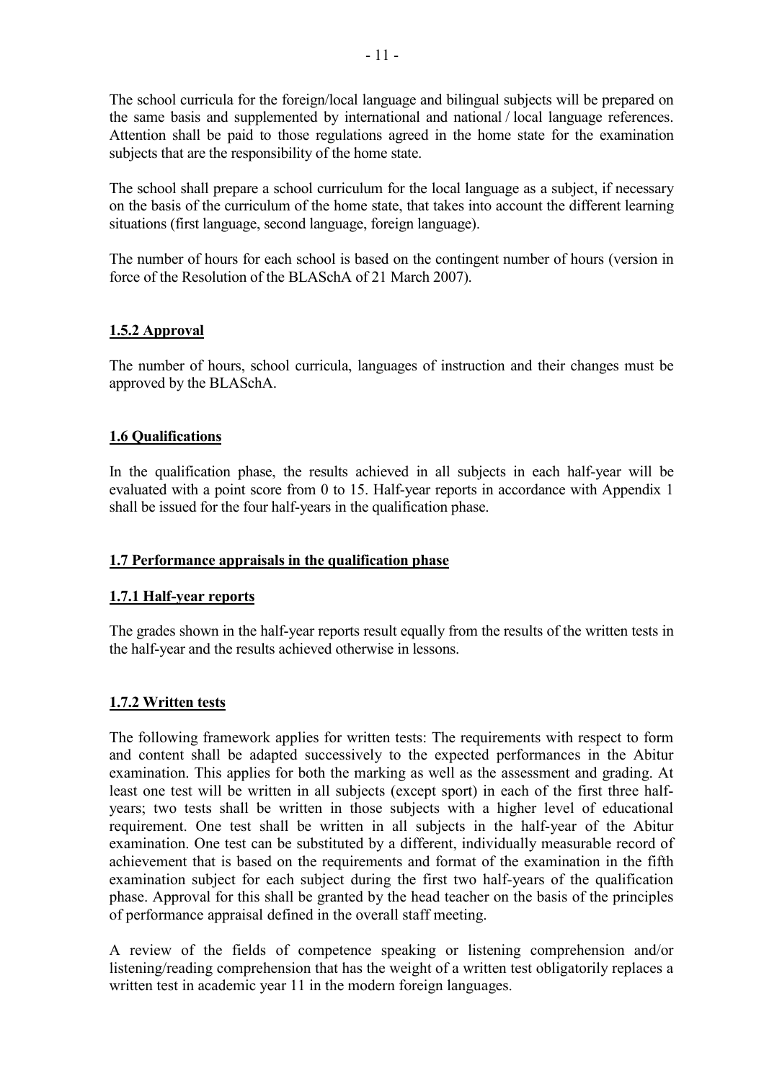The school curricula for the foreign/local language and bilingual subjects will be prepared on the same basis and supplemented by international and national / local language references. Attention shall be paid to those regulations agreed in the home state for the examination subjects that are the responsibility of the home state.

The school shall prepare a school curriculum for the local language as a subject, if necessary on the basis of the curriculum of the home state, that takes into account the different learning situations (first language, second language, foreign language).

The number of hours for each school is based on the contingent number of hours (version in force of the Resolution of the BLASchA of 21 March 2007).

# **1.5.2 Approval**

The number of hours, school curricula, languages of instruction and their changes must be approved by the BLASchA.

## **1.6 Qualifications**

In the qualification phase, the results achieved in all subjects in each half-year will be evaluated with a point score from 0 to 15. Half-year reports in accordance with Appendix 1 shall be issued for the four half-years in the qualification phase.

#### **1.7 Performance appraisals in the qualification phase**

#### **1.7.1 Half-year reports**

The grades shown in the half-year reports result equally from the results of the written tests in the half-year and the results achieved otherwise in lessons.

## **1.7.2 Written tests**

The following framework applies for written tests: The requirements with respect to form and content shall be adapted successively to the expected performances in the Abitur examination. This applies for both the marking as well as the assessment and grading. At least one test will be written in all subjects (except sport) in each of the first three halfyears; two tests shall be written in those subjects with a higher level of educational requirement. One test shall be written in all subjects in the half-year of the Abitur examination. One test can be substituted by a different, individually measurable record of achievement that is based on the requirements and format of the examination in the fifth examination subject for each subject during the first two half-years of the qualification phase. Approval for this shall be granted by the head teacher on the basis of the principles of performance appraisal defined in the overall staff meeting.

A review of the fields of competence speaking or listening comprehension and/or listening/reading comprehension that has the weight of a written test obligatorily replaces a written test in academic year 11 in the modern foreign languages.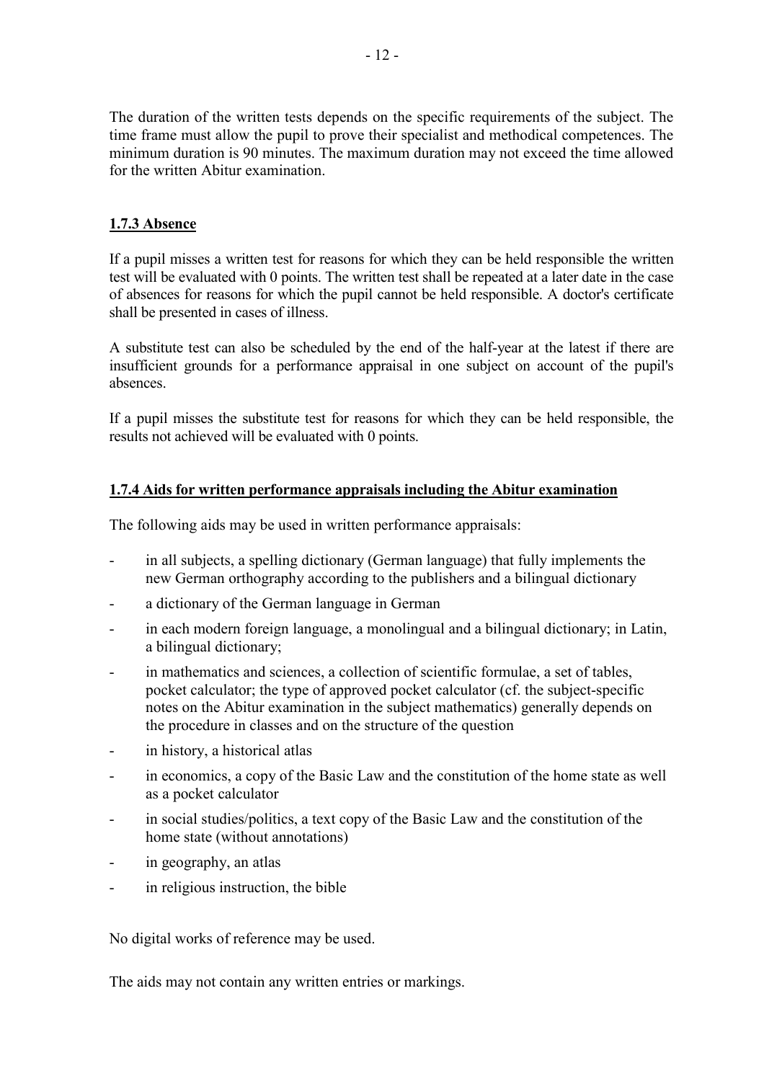The duration of the written tests depends on the specific requirements of the subject. The time frame must allow the pupil to prove their specialist and methodical competences. The minimum duration is 90 minutes. The maximum duration may not exceed the time allowed for the written Abitur examination.

# **1.7.3 Absence**

If a pupil misses a written test for reasons for which they can be held responsible the written test will be evaluated with 0 points. The written test shall be repeated at a later date in the case of absences for reasons for which the pupil cannot be held responsible. A doctor's certificate shall be presented in cases of illness.

A substitute test can also be scheduled by the end of the half-year at the latest if there are insufficient grounds for a performance appraisal in one subject on account of the pupil's absences.

If a pupil misses the substitute test for reasons for which they can be held responsible, the results not achieved will be evaluated with 0 points.

## **1.7.4 Aids for written performance appraisals including the Abitur examination**

The following aids may be used in written performance appraisals:

- in all subjects, a spelling dictionary (German language) that fully implements the new German orthography according to the publishers and a bilingual dictionary
- a dictionary of the German language in German
- in each modern foreign language, a monolingual and a bilingual dictionary; in Latin, a bilingual dictionary;
- in mathematics and sciences, a collection of scientific formulae, a set of tables, pocket calculator; the type of approved pocket calculator (cf. the subject-specific notes on the Abitur examination in the subject mathematics) generally depends on the procedure in classes and on the structure of the question
- in history, a historical atlas
- in economics, a copy of the Basic Law and the constitution of the home state as well as a pocket calculator
- in social studies/politics, a text copy of the Basic Law and the constitution of the home state (without annotations)
- in geography, an atlas
- in religious instruction, the bible

No digital works of reference may be used.

The aids may not contain any written entries or markings.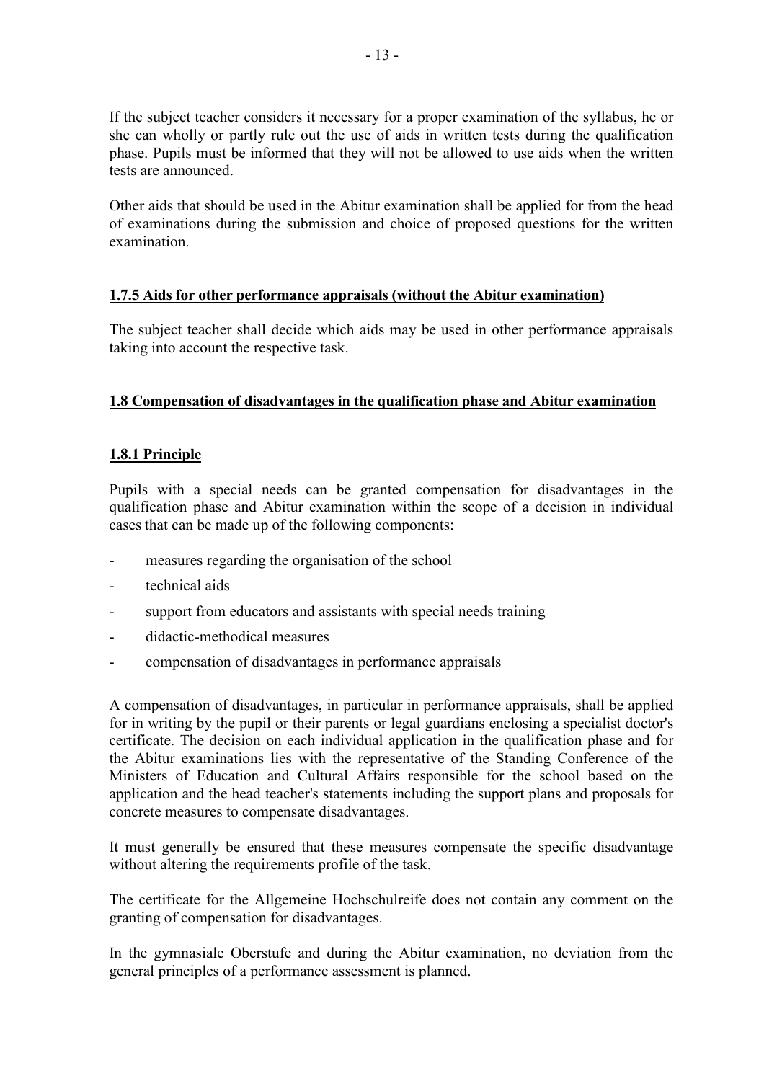If the subject teacher considers it necessary for a proper examination of the syllabus, he or she can wholly or partly rule out the use of aids in written tests during the qualification phase. Pupils must be informed that they will not be allowed to use aids when the written tests are announced.

Other aids that should be used in the Abitur examination shall be applied for from the head of examinations during the submission and choice of proposed questions for the written examination.

# **1.7.5 Aids for other performance appraisals (without the Abitur examination)**

The subject teacher shall decide which aids may be used in other performance appraisals taking into account the respective task.

# **1.8 Compensation of disadvantages in the qualification phase and Abitur examination**

# **1.8.1 Principle**

Pupils with a special needs can be granted compensation for disadvantages in the qualification phase and Abitur examination within the scope of a decision in individual cases that can be made up of the following components:

- measures regarding the organisation of the school
- technical aids
- support from educators and assistants with special needs training
- didactic-methodical measures
- compensation of disadvantages in performance appraisals

A compensation of disadvantages, in particular in performance appraisals, shall be applied for in writing by the pupil or their parents or legal guardians enclosing a specialist doctor's certificate. The decision on each individual application in the qualification phase and for the Abitur examinations lies with the representative of the Standing Conference of the Ministers of Education and Cultural Affairs responsible for the school based on the application and the head teacher's statements including the support plans and proposals for concrete measures to compensate disadvantages.

It must generally be ensured that these measures compensate the specific disadvantage without altering the requirements profile of the task.

The certificate for the Allgemeine Hochschulreife does not contain any comment on the granting of compensation for disadvantages.

In the gymnasiale Oberstufe and during the Abitur examination, no deviation from the general principles of a performance assessment is planned.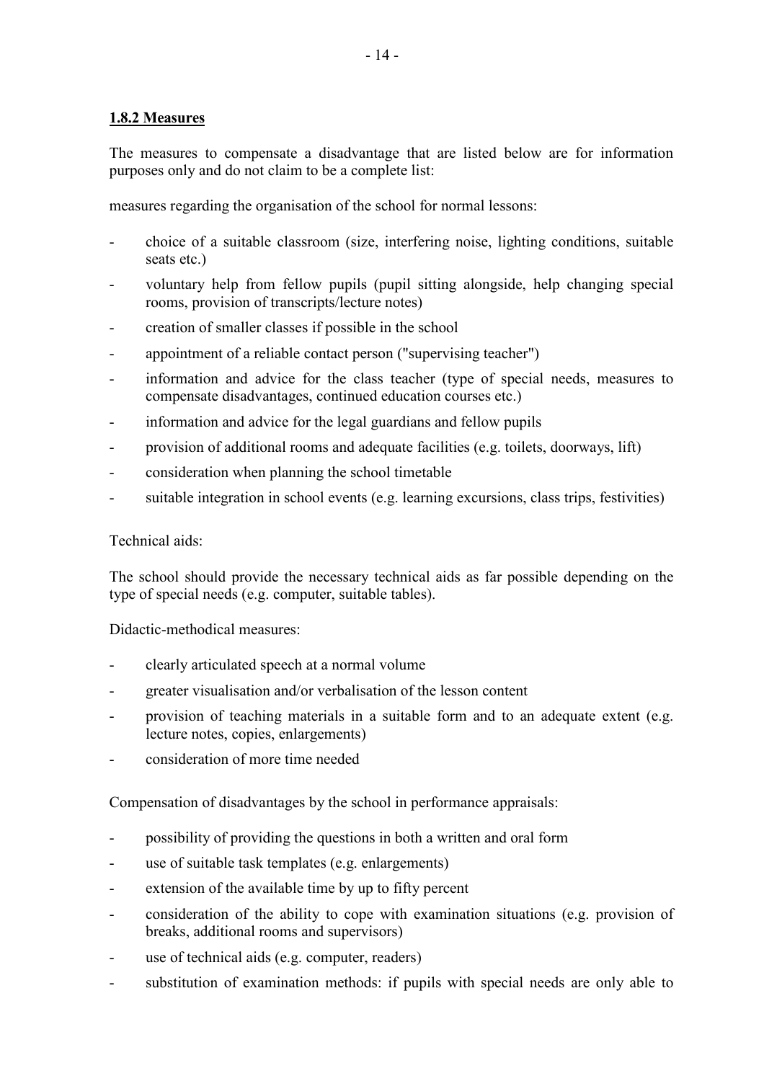## **1.8.2 Measures**

The measures to compensate a disadvantage that are listed below are for information purposes only and do not claim to be a complete list:

measures regarding the organisation of the school for normal lessons:

- choice of a suitable classroom (size, interfering noise, lighting conditions, suitable seats etc.)
- voluntary help from fellow pupils (pupil sitting alongside, help changing special rooms, provision of transcripts/lecture notes)
- creation of smaller classes if possible in the school
- appointment of a reliable contact person ("supervising teacher")
- information and advice for the class teacher (type of special needs, measures to compensate disadvantages, continued education courses etc.)
- information and advice for the legal guardians and fellow pupils
- provision of additional rooms and adequate facilities (e.g. toilets, doorways, lift)
- consideration when planning the school timetable
- suitable integration in school events (e.g. learning excursions, class trips, festivities)

#### Technical aids:

The school should provide the necessary technical aids as far possible depending on the type of special needs (e.g. computer, suitable tables).

Didactic-methodical measures:

- clearly articulated speech at a normal volume
- greater visualisation and/or verbalisation of the lesson content
- provision of teaching materials in a suitable form and to an adequate extent (e.g. lecture notes, copies, enlargements)
- consideration of more time needed

Compensation of disadvantages by the school in performance appraisals:

- possibility of providing the questions in both a written and oral form
- use of suitable task templates (e.g. enlargements)
- extension of the available time by up to fifty percent
- consideration of the ability to cope with examination situations (e.g. provision of breaks, additional rooms and supervisors)
- use of technical aids (e.g. computer, readers)
- substitution of examination methods: if pupils with special needs are only able to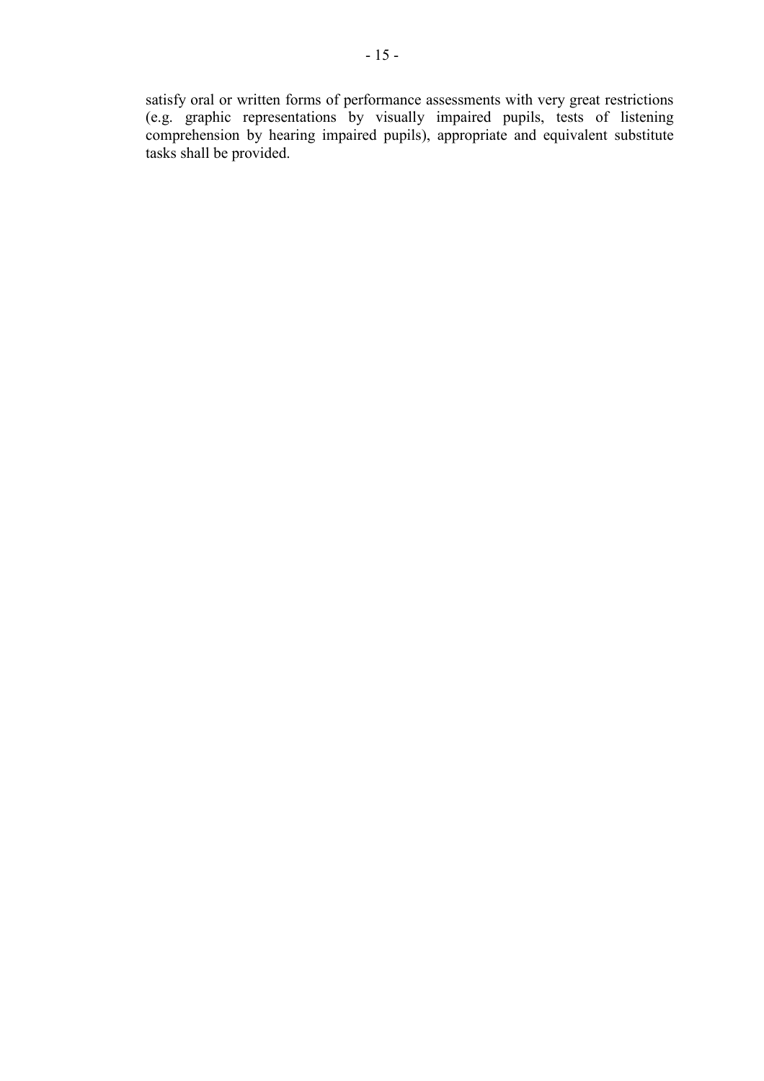satisfy oral or written forms of performance assessments with very great restrictions (e.g. graphic representations by visually impaired pupils, tests of listening comprehension by hearing impaired pupils), appropriate and equivalent substitute tasks shall be provided.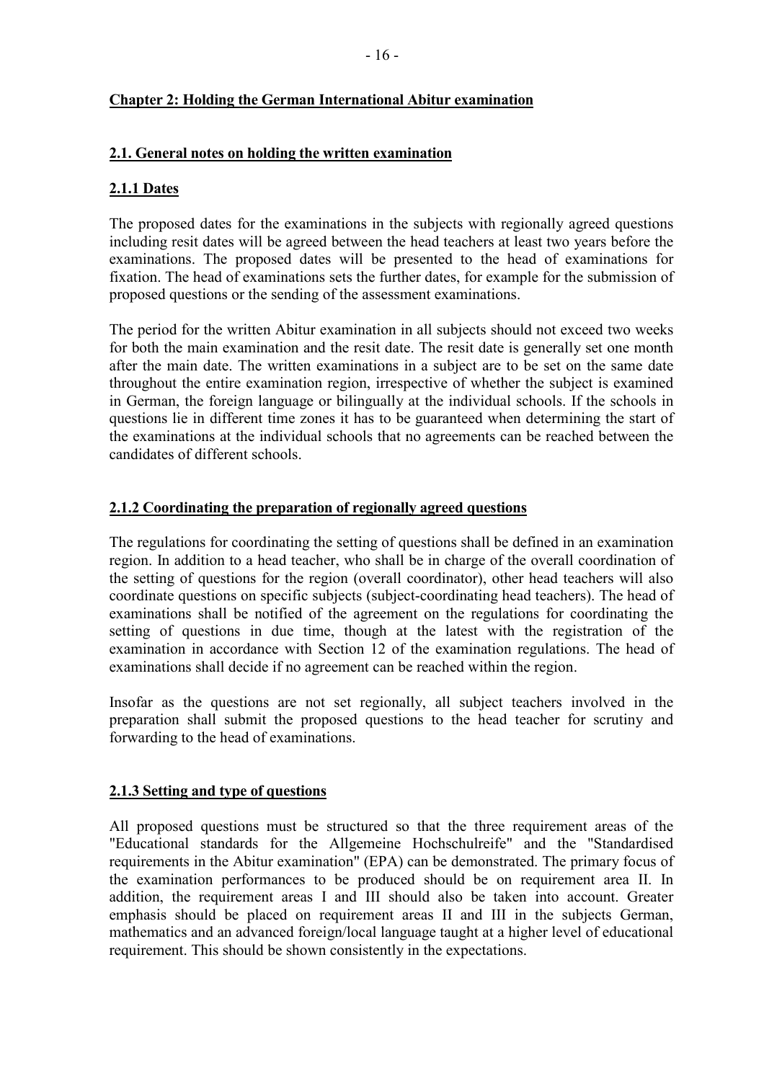# **Chapter 2: Holding the German International Abitur examination**

### **2.1. General notes on holding the written examination**

### **2.1.1 Dates**

The proposed dates for the examinations in the subjects with regionally agreed questions including resit dates will be agreed between the head teachers at least two years before the examinations. The proposed dates will be presented to the head of examinations for fixation. The head of examinations sets the further dates, for example for the submission of proposed questions or the sending of the assessment examinations.

The period for the written Abitur examination in all subjects should not exceed two weeks for both the main examination and the resit date. The resit date is generally set one month after the main date. The written examinations in a subject are to be set on the same date throughout the entire examination region, irrespective of whether the subject is examined in German, the foreign language or bilingually at the individual schools. If the schools in questions lie in different time zones it has to be guaranteed when determining the start of the examinations at the individual schools that no agreements can be reached between the candidates of different schools.

### **2.1.2 Coordinating the preparation of regionally agreed questions**

The regulations for coordinating the setting of questions shall be defined in an examination region. In addition to a head teacher, who shall be in charge of the overall coordination of the setting of questions for the region (overall coordinator), other head teachers will also coordinate questions on specific subjects (subject-coordinating head teachers). The head of examinations shall be notified of the agreement on the regulations for coordinating the setting of questions in due time, though at the latest with the registration of the examination in accordance with Section 12 of the examination regulations. The head of examinations shall decide if no agreement can be reached within the region.

Insofar as the questions are not set regionally, all subject teachers involved in the preparation shall submit the proposed questions to the head teacher for scrutiny and forwarding to the head of examinations.

## **2.1.3 Setting and type of questions**

All proposed questions must be structured so that the three requirement areas of the "Educational standards for the Allgemeine Hochschulreife" and the "Standardised requirements in the Abitur examination" (EPA) can be demonstrated. The primary focus of the examination performances to be produced should be on requirement area II. In addition, the requirement areas I and III should also be taken into account. Greater emphasis should be placed on requirement areas II and III in the subjects German, mathematics and an advanced foreign/local language taught at a higher level of educational requirement. This should be shown consistently in the expectations.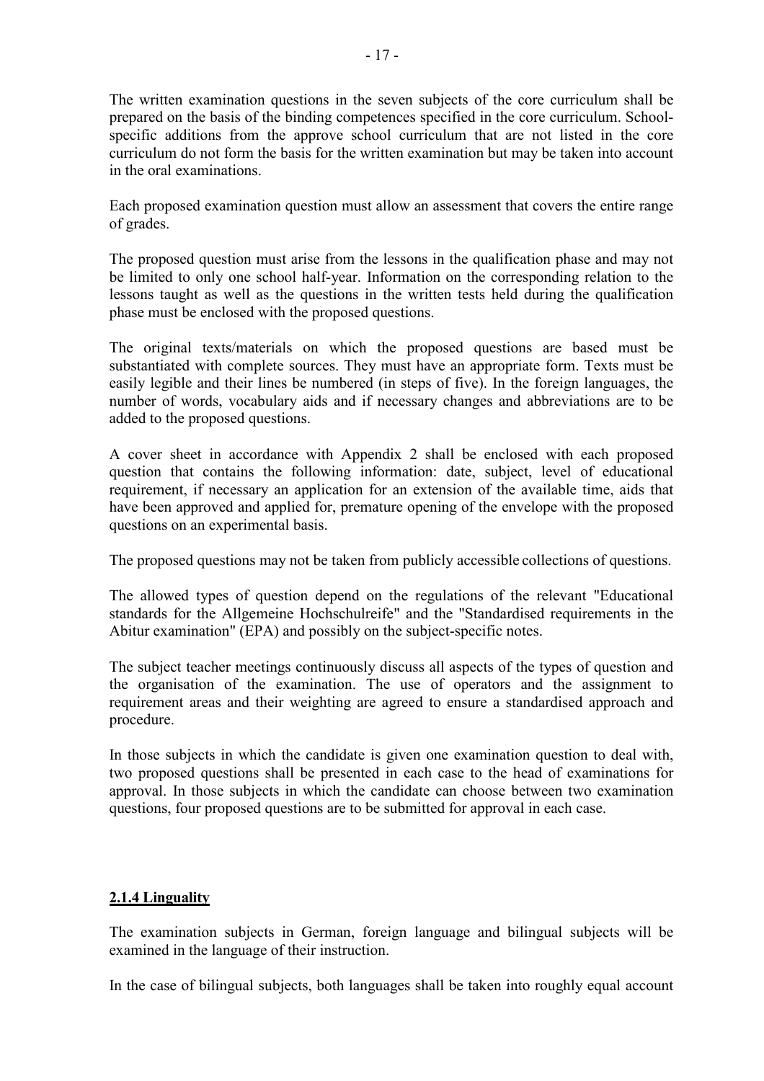The written examination questions in the seven subjects of the core curriculum shall be prepared on the basis of the binding competences specified in the core curriculum. Schoolspecific additions from the approve school curriculum that are not listed in the core curriculum do not form the basis for the written examination but may be taken into account in the oral examinations.

Each proposed examination question must allow an assessment that covers the entire range of grades.

The proposed question must arise from the lessons in the qualification phase and may not be limited to only one school half-year. Information on the corresponding relation to the lessons taught as well as the questions in the written tests held during the qualification phase must be enclosed with the proposed questions.

The original texts/materials on which the proposed questions are based must be substantiated with complete sources. They must have an appropriate form. Texts must be easily legible and their lines be numbered (in steps of five). In the foreign languages, the number of words, vocabulary aids and if necessary changes and abbreviations are to be added to the proposed questions.

A cover sheet in accordance with Appendix 2 shall be enclosed with each proposed question that contains the following information: date, subject, level of educational requirement, if necessary an application for an extension of the available time, aids that have been approved and applied for, premature opening of the envelope with the proposed questions on an experimental basis.

The proposed questions may not be taken from publicly accessible collections of questions.

The allowed types of question depend on the regulations of the relevant "Educational standards for the Allgemeine Hochschulreife" and the "Standardised requirements in the Abitur examination" (EPA) and possibly on the subject-specific notes.

The subject teacher meetings continuously discuss all aspects of the types of question and the organisation of the examination. The use of operators and the assignment to requirement areas and their weighting are agreed to ensure a standardised approach and procedure.

In those subjects in which the candidate is given one examination question to deal with, two proposed questions shall be presented in each case to the head of examinations for approval. In those subjects in which the candidate can choose between two examination questions, four proposed questions are to be submitted for approval in each case.

## **2.1.4 Linguality**

The examination subjects in German, foreign language and bilingual subjects will be examined in the language of their instruction.

In the case of bilingual subjects, both languages shall be taken into roughly equal account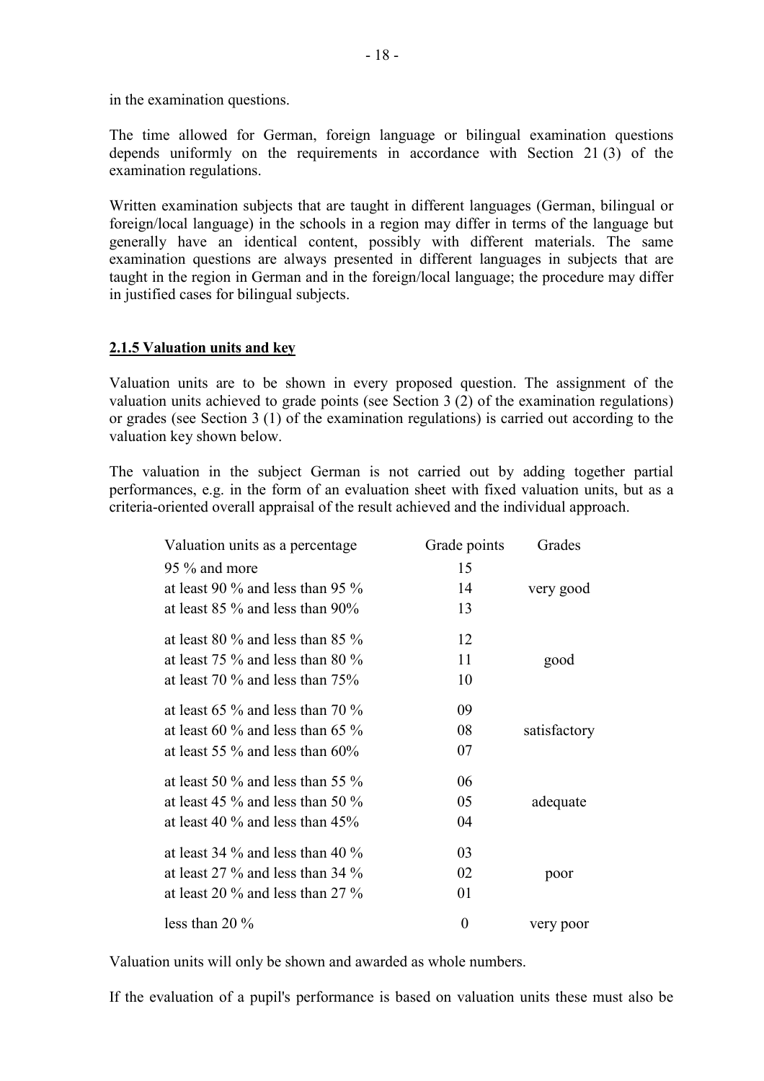in the examination questions.

The time allowed for German, foreign language or bilingual examination questions depends uniformly on the requirements in accordance with Section 21 (3) of the examination regulations.

Written examination subjects that are taught in different languages (German, bilingual or foreign/local language) in the schools in a region may differ in terms of the language but generally have an identical content, possibly with different materials. The same examination questions are always presented in different languages in subjects that are taught in the region in German and in the foreign/local language; the procedure may differ in justified cases for bilingual subjects.

### **2.1.5 Valuation units and key**

Valuation units are to be shown in every proposed question. The assignment of the valuation units achieved to grade points (see Section 3 (2) of the examination regulations) or grades (see Section 3 (1) of the examination regulations) is carried out according to the valuation key shown below.

The valuation in the subject German is not carried out by adding together partial performances, e.g. in the form of an evaluation sheet with fixed valuation units, but as a criteria-oriented overall appraisal of the result achieved and the individual approach.

| Valuation units as a percentage.       | Grade points | Grades       |
|----------------------------------------|--------------|--------------|
| 95 % and more                          | 15           |              |
| at least 90 $\%$ and less than 95 $\%$ | 14           | very good    |
| at least 85 % and less than 90%        | 13           |              |
| at least 80 $\%$ and less than 85 $\%$ | 12           |              |
| at least 75 $\%$ and less than 80 $\%$ | 11           | good         |
| at least 70 $\%$ and less than 75 $\%$ | 10           |              |
| at least 65 $\%$ and less than 70 $\%$ | 09           |              |
| at least 60 $\%$ and less than 65 $\%$ | 08           | satisfactory |
| at least 55 $\%$ and less than 60%     | 07           |              |
| at least 50 $\%$ and less than 55 $\%$ | 06           |              |
| at least 45 $\%$ and less than 50 $\%$ | 05           | adequate     |
| at least 40 $\%$ and less than 45 $\%$ | 04           |              |
| at least 34 $\%$ and less than 40 $\%$ | 03           |              |
| at least 27 $\%$ and less than 34 $\%$ | 02           | poor         |
| at least 20 $\%$ and less than 27 $\%$ | 01           |              |
| less than 20 $\%$                      | $\theta$     | very poor    |

Valuation units will only be shown and awarded as whole numbers.

If the evaluation of a pupil's performance is based on valuation units these must also be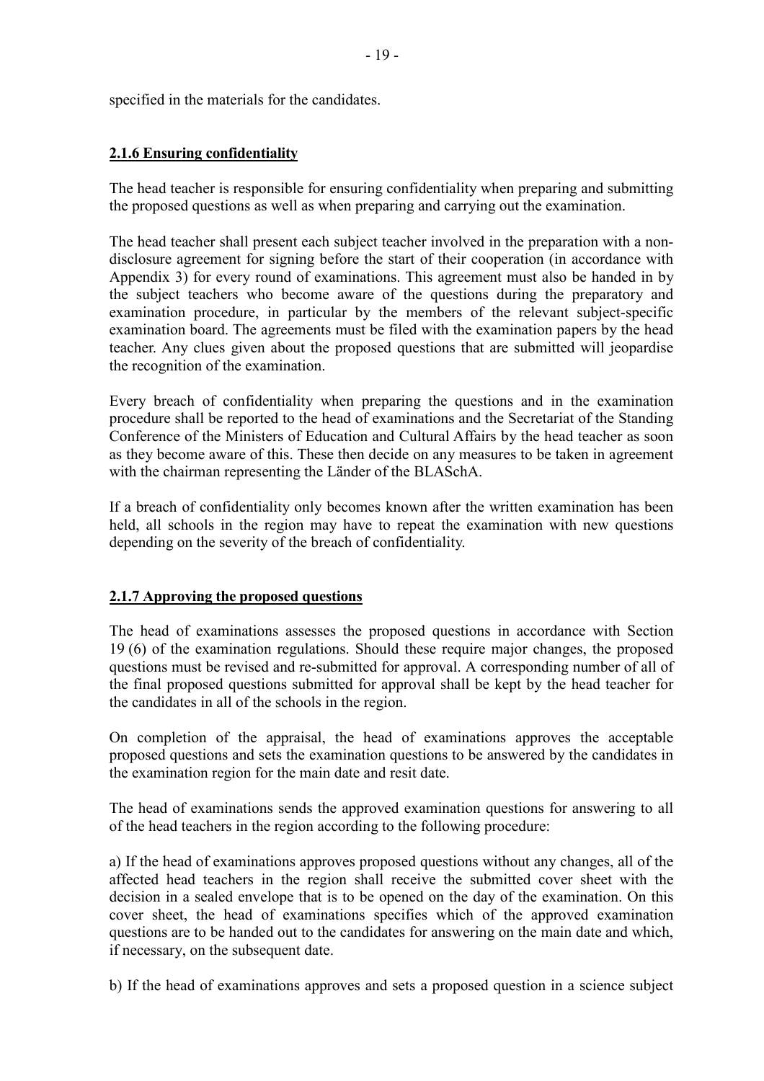specified in the materials for the candidates.

### **2.1.6 Ensuring confidentiality**

The head teacher is responsible for ensuring confidentiality when preparing and submitting the proposed questions as well as when preparing and carrying out the examination.

The head teacher shall present each subject teacher involved in the preparation with a nondisclosure agreement for signing before the start of their cooperation (in accordance with Appendix 3) for every round of examinations. This agreement must also be handed in by the subject teachers who become aware of the questions during the preparatory and examination procedure, in particular by the members of the relevant subject-specific examination board. The agreements must be filed with the examination papers by the head teacher. Any clues given about the proposed questions that are submitted will jeopardise the recognition of the examination.

Every breach of confidentiality when preparing the questions and in the examination procedure shall be reported to the head of examinations and the Secretariat of the Standing Conference of the Ministers of Education and Cultural Affairs by the head teacher as soon as they become aware of this. These then decide on any measures to be taken in agreement with the chairman representing the Länder of the BLASchA.

If a breach of confidentiality only becomes known after the written examination has been held, all schools in the region may have to repeat the examination with new questions depending on the severity of the breach of confidentiality.

#### **2.1.7 Approving the proposed questions**

The head of examinations assesses the proposed questions in accordance with Section 19 (6) of the examination regulations. Should these require major changes, the proposed questions must be revised and re-submitted for approval. A corresponding number of all of the final proposed questions submitted for approval shall be kept by the head teacher for the candidates in all of the schools in the region.

On completion of the appraisal, the head of examinations approves the acceptable proposed questions and sets the examination questions to be answered by the candidates in the examination region for the main date and resit date.

The head of examinations sends the approved examination questions for answering to all of the head teachers in the region according to the following procedure:

a) If the head of examinations approves proposed questions without any changes, all of the affected head teachers in the region shall receive the submitted cover sheet with the decision in a sealed envelope that is to be opened on the day of the examination. On this cover sheet, the head of examinations specifies which of the approved examination questions are to be handed out to the candidates for answering on the main date and which, if necessary, on the subsequent date.

b) If the head of examinations approves and sets a proposed question in a science subject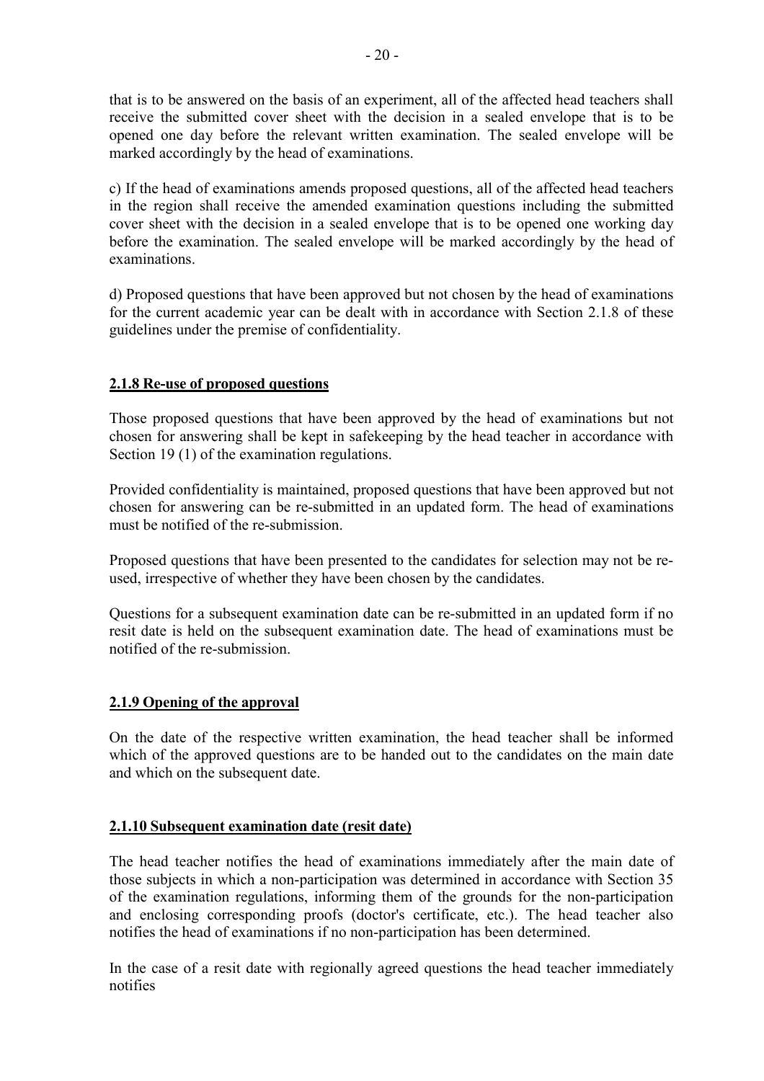that is to be answered on the basis of an experiment, all of the affected head teachers shall receive the submitted cover sheet with the decision in a sealed envelope that is to be opened one day before the relevant written examination. The sealed envelope will be marked accordingly by the head of examinations.

c) If the head of examinations amends proposed questions, all of the affected head teachers in the region shall receive the amended examination questions including the submitted cover sheet with the decision in a sealed envelope that is to be opened one working day before the examination. The sealed envelope will be marked accordingly by the head of examinations.

d) Proposed questions that have been approved but not chosen by the head of examinations for the current academic year can be dealt with in accordance with Section 2.1.8 of these guidelines under the premise of confidentiality.

## **2.1.8 Re-use of proposed questions**

Those proposed questions that have been approved by the head of examinations but not chosen for answering shall be kept in safekeeping by the head teacher in accordance with Section 19(1) of the examination regulations.

Provided confidentiality is maintained, proposed questions that have been approved but not chosen for answering can be re-submitted in an updated form. The head of examinations must be notified of the re-submission.

Proposed questions that have been presented to the candidates for selection may not be reused, irrespective of whether they have been chosen by the candidates.

Questions for a subsequent examination date can be re-submitted in an updated form if no resit date is held on the subsequent examination date. The head of examinations must be notified of the re-submission.

## **2.1.9 Opening of the approval**

On the date of the respective written examination, the head teacher shall be informed which of the approved questions are to be handed out to the candidates on the main date and which on the subsequent date.

#### **2.1.10 Subsequent examination date (resit date)**

The head teacher notifies the head of examinations immediately after the main date of those subjects in which a non-participation was determined in accordance with Section 35 of the examination regulations, informing them of the grounds for the non-participation and enclosing corresponding proofs (doctor's certificate, etc.). The head teacher also notifies the head of examinations if no non-participation has been determined.

In the case of a resit date with regionally agreed questions the head teacher immediately notifies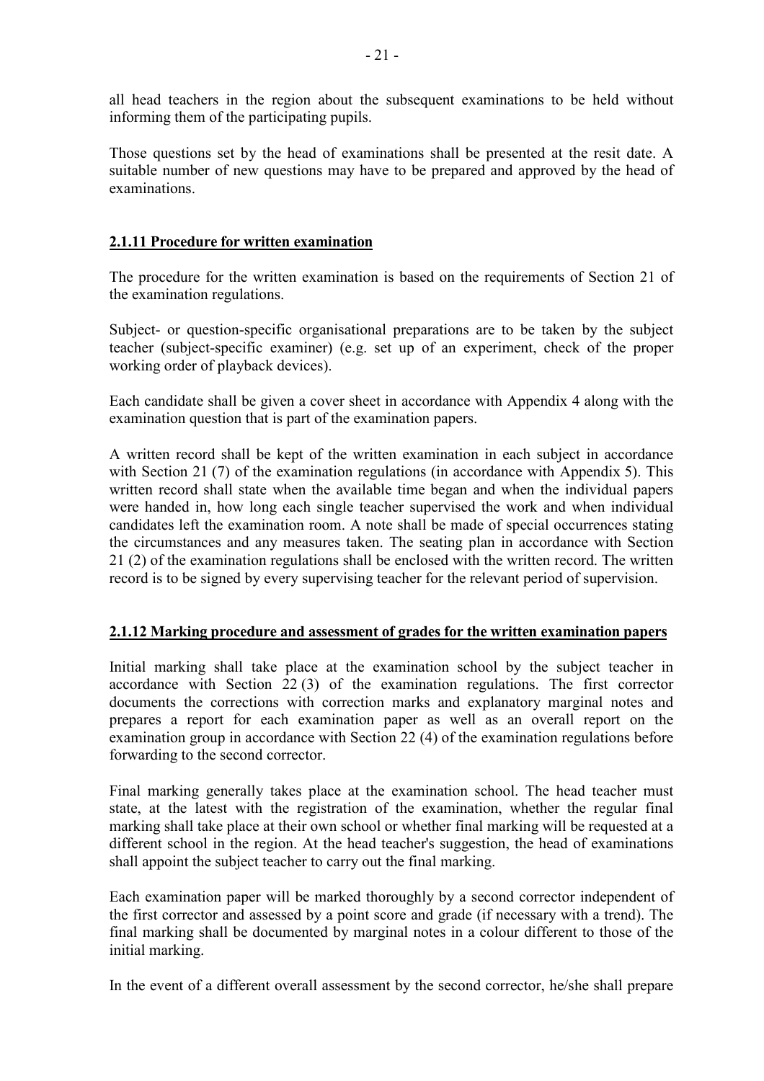all head teachers in the region about the subsequent examinations to be held without informing them of the participating pupils.

Those questions set by the head of examinations shall be presented at the resit date. A suitable number of new questions may have to be prepared and approved by the head of examinations.

### **2.1.11 Procedure for written examination**

The procedure for the written examination is based on the requirements of Section 21 of the examination regulations.

Subject- or question-specific organisational preparations are to be taken by the subject teacher (subject-specific examiner) (e.g. set up of an experiment, check of the proper working order of playback devices).

Each candidate shall be given a cover sheet in accordance with Appendix 4 along with the examination question that is part of the examination papers.

A written record shall be kept of the written examination in each subject in accordance with Section 21 (7) of the examination regulations (in accordance with Appendix 5). This written record shall state when the available time began and when the individual papers were handed in, how long each single teacher supervised the work and when individual candidates left the examination room. A note shall be made of special occurrences stating the circumstances and any measures taken. The seating plan in accordance with Section 21 (2) of the examination regulations shall be enclosed with the written record. The written record is to be signed by every supervising teacher for the relevant period of supervision.

#### **2.1.12 Marking procedure and assessment of grades for the written examination papers**

Initial marking shall take place at the examination school by the subject teacher in accordance with Section 22 (3) of the examination regulations. The first corrector documents the corrections with correction marks and explanatory marginal notes and prepares a report for each examination paper as well as an overall report on the examination group in accordance with Section 22 (4) of the examination regulations before forwarding to the second corrector.

Final marking generally takes place at the examination school. The head teacher must state, at the latest with the registration of the examination, whether the regular final marking shall take place at their own school or whether final marking will be requested at a different school in the region. At the head teacher's suggestion, the head of examinations shall appoint the subject teacher to carry out the final marking.

Each examination paper will be marked thoroughly by a second corrector independent of the first corrector and assessed by a point score and grade (if necessary with a trend). The final marking shall be documented by marginal notes in a colour different to those of the initial marking.

In the event of a different overall assessment by the second corrector, he/she shall prepare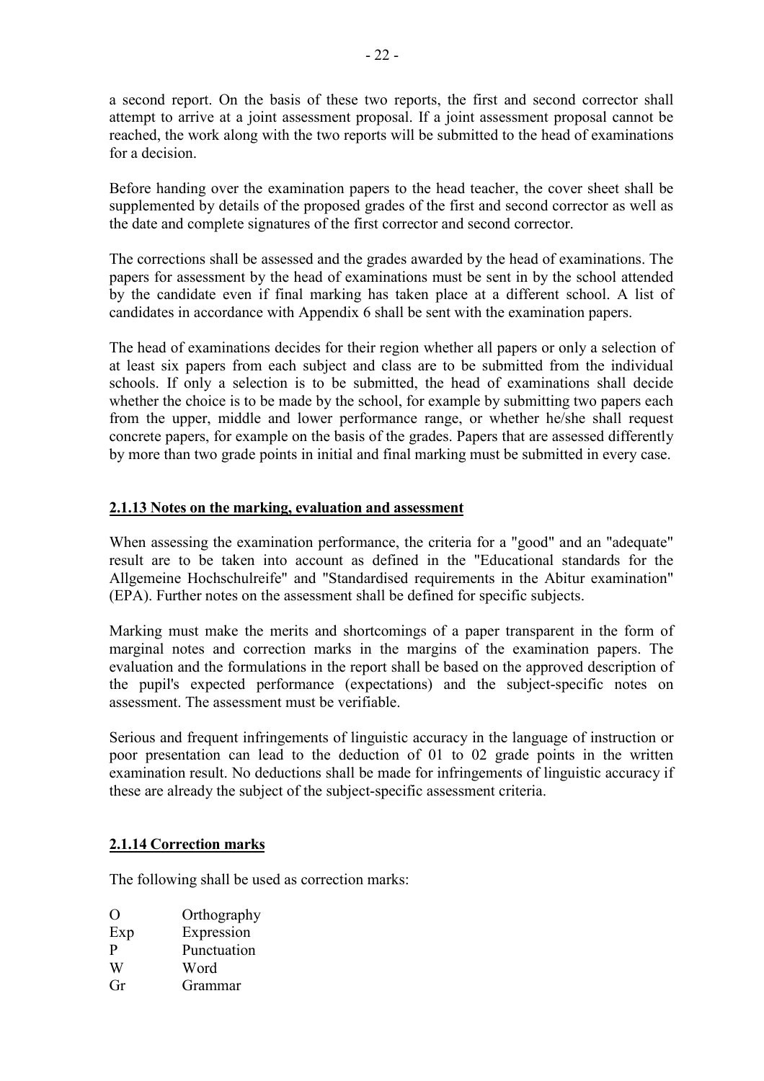a second report. On the basis of these two reports, the first and second corrector shall attempt to arrive at a joint assessment proposal. If a joint assessment proposal cannot be reached, the work along with the two reports will be submitted to the head of examinations for a decision.

Before handing over the examination papers to the head teacher, the cover sheet shall be supplemented by details of the proposed grades of the first and second corrector as well as the date and complete signatures of the first corrector and second corrector.

The corrections shall be assessed and the grades awarded by the head of examinations. The papers for assessment by the head of examinations must be sent in by the school attended by the candidate even if final marking has taken place at a different school. A list of candidates in accordance with Appendix 6 shall be sent with the examination papers.

The head of examinations decides for their region whether all papers or only a selection of at least six papers from each subject and class are to be submitted from the individual schools. If only a selection is to be submitted, the head of examinations shall decide whether the choice is to be made by the school, for example by submitting two papers each from the upper, middle and lower performance range, or whether he/she shall request concrete papers, for example on the basis of the grades. Papers that are assessed differently by more than two grade points in initial and final marking must be submitted in every case.

## **2.1.13 Notes on the marking, evaluation and assessment**

When assessing the examination performance, the criteria for a "good" and an "adequate" result are to be taken into account as defined in the "Educational standards for the Allgemeine Hochschulreife" and "Standardised requirements in the Abitur examination" (EPA). Further notes on the assessment shall be defined for specific subjects.

Marking must make the merits and shortcomings of a paper transparent in the form of marginal notes and correction marks in the margins of the examination papers. The evaluation and the formulations in the report shall be based on the approved description of the pupil's expected performance (expectations) and the subject-specific notes on assessment. The assessment must be verifiable.

Serious and frequent infringements of linguistic accuracy in the language of instruction or poor presentation can lead to the deduction of 01 to 02 grade points in the written examination result. No deductions shall be made for infringements of linguistic accuracy if these are already the subject of the subject-specific assessment criteria.

## **2.1.14 Correction marks**

The following shall be used as correction marks:

| O | Orthography |
|---|-------------|
|---|-------------|

- Exp Expression
- P Punctuation
- W Word
- Gr Grammar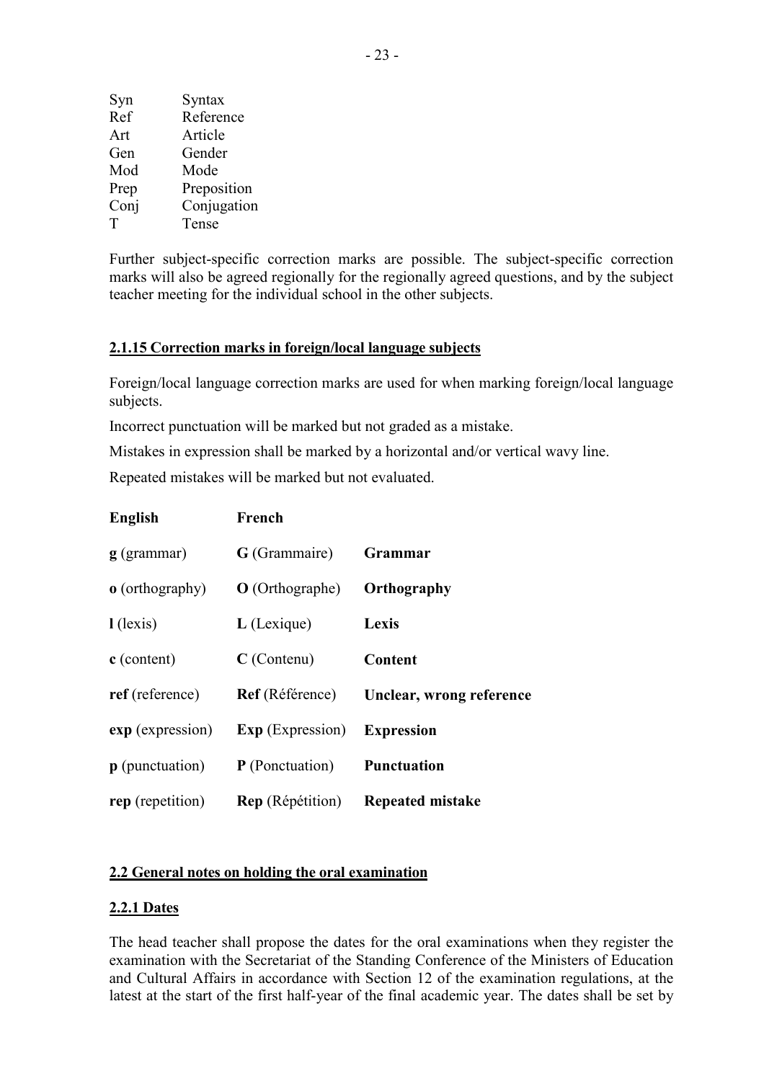| Syn  | Syntax      |
|------|-------------|
| Ref  | Reference   |
| Art  | Article     |
| Gen  | Gender      |
| Mod  | Mode        |
| Prep | Preposition |
| Conj | Conjugation |
| т    | Tense       |

Further subject-specific correction marks are possible. The subject-specific correction marks will also be agreed regionally for the regionally agreed questions, and by the subject teacher meeting for the individual school in the other subjects.

#### **2.1.15 Correction marks in foreign/local language subjects**

Foreign/local language correction marks are used for when marking foreign/local language subjects.

Incorrect punctuation will be marked but not graded as a mistake.

Mistakes in expression shall be marked by a horizontal and/or vertical wavy line.

Repeated mistakes will be marked but not evaluated.

| <b>English</b>            | French                  |                          |
|---------------------------|-------------------------|--------------------------|
| $g$ (grammar)             | G (Grammaire)           | Grammar                  |
| <b>o</b> (orthography)    | <b>O</b> (Orthographe)  | Orthography              |
| $l$ (lexis)               | $L$ (Lexique)           | Lexis                    |
| $c$ (content)             | $C$ (Contenu)           | Content                  |
| ref (reference)           | Ref (Référence)         | Unclear, wrong reference |
| exp (expression)          | <b>Exp</b> (Expression) | <b>Expression</b>        |
| $\mathbf p$ (punctuation) | <b>P</b> (Ponctuation)  | <b>Punctuation</b>       |
| rep (repetition)          | <b>Rep</b> (Répétition) | <b>Repeated mistake</b>  |

#### **2.2 General notes on holding the oral examination**

#### **2.2.1 Dates**

The head teacher shall propose the dates for the oral examinations when they register the examination with the Secretariat of the Standing Conference of the Ministers of Education and Cultural Affairs in accordance with Section 12 of the examination regulations, at the latest at the start of the first half-year of the final academic year. The dates shall be set by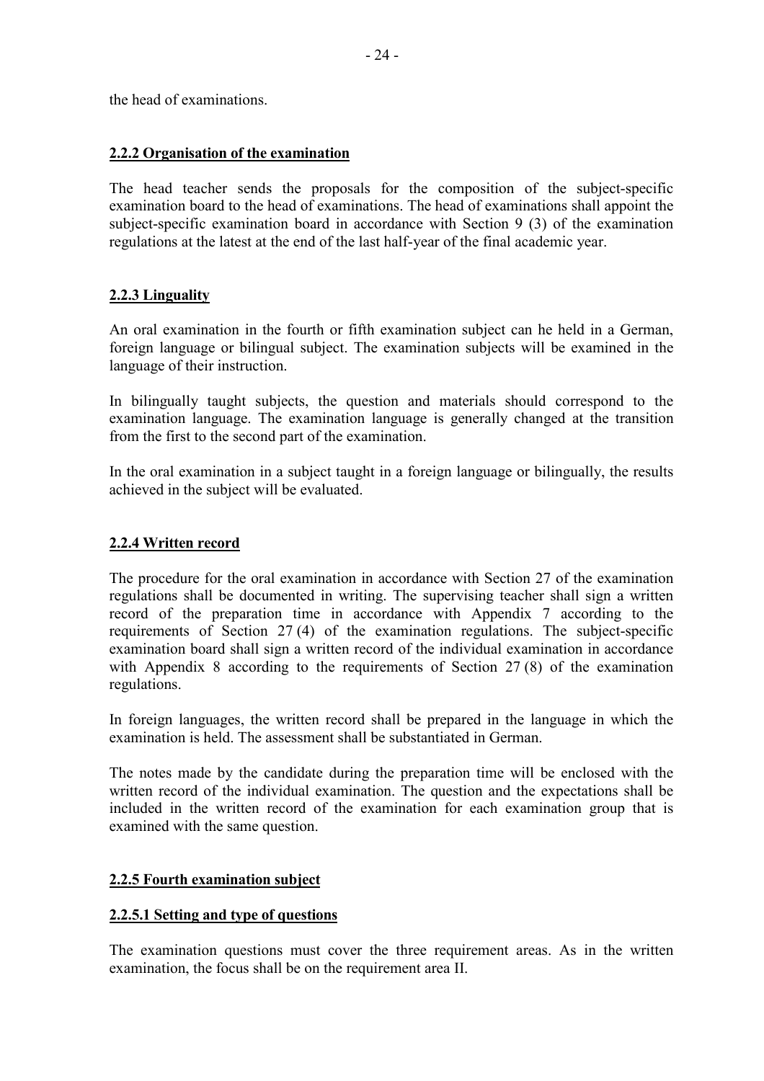the head of examinations.

### **2.2.2 Organisation of the examination**

The head teacher sends the proposals for the composition of the subject-specific examination board to the head of examinations. The head of examinations shall appoint the subject-specific examination board in accordance with Section 9 (3) of the examination regulations at the latest at the end of the last half-year of the final academic year.

## **2.2.3 Linguality**

An oral examination in the fourth or fifth examination subject can he held in a German, foreign language or bilingual subject. The examination subjects will be examined in the language of their instruction.

In bilingually taught subjects, the question and materials should correspond to the examination language. The examination language is generally changed at the transition from the first to the second part of the examination.

In the oral examination in a subject taught in a foreign language or bilingually, the results achieved in the subject will be evaluated.

### **2.2.4 Written record**

The procedure for the oral examination in accordance with Section 27 of the examination regulations shall be documented in writing. The supervising teacher shall sign a written record of the preparation time in accordance with Appendix 7 according to the requirements of Section 27 (4) of the examination regulations. The subject-specific examination board shall sign a written record of the individual examination in accordance with Appendix 8 according to the requirements of Section 27(8) of the examination regulations.

In foreign languages, the written record shall be prepared in the language in which the examination is held. The assessment shall be substantiated in German.

The notes made by the candidate during the preparation time will be enclosed with the written record of the individual examination. The question and the expectations shall be included in the written record of the examination for each examination group that is examined with the same question.

## **2.2.5 Fourth examination subject**

## **2.2.5.1 Setting and type of questions**

The examination questions must cover the three requirement areas. As in the written examination, the focus shall be on the requirement area II.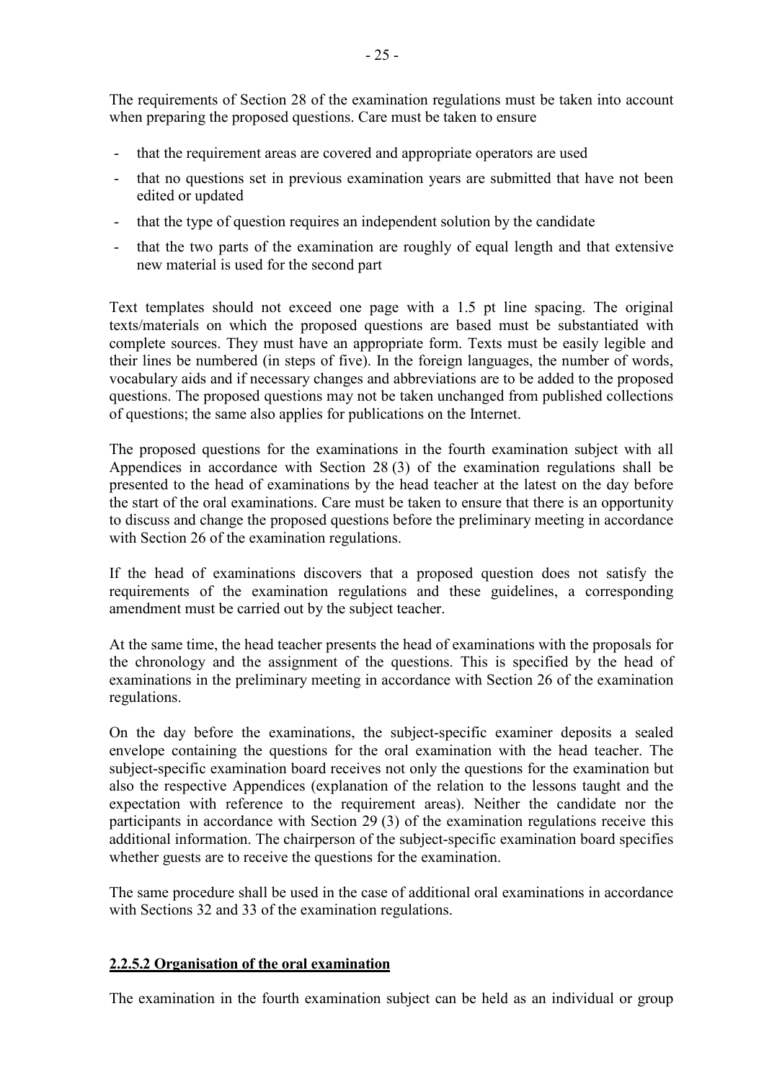The requirements of Section 28 of the examination regulations must be taken into account when preparing the proposed questions. Care must be taken to ensure

- that the requirement areas are covered and appropriate operators are used
- that no questions set in previous examination years are submitted that have not been edited or updated
- that the type of question requires an independent solution by the candidate
- that the two parts of the examination are roughly of equal length and that extensive new material is used for the second part

Text templates should not exceed one page with a 1.5 pt line spacing. The original texts/materials on which the proposed questions are based must be substantiated with complete sources. They must have an appropriate form. Texts must be easily legible and their lines be numbered (in steps of five). In the foreign languages, the number of words, vocabulary aids and if necessary changes and abbreviations are to be added to the proposed questions. The proposed questions may not be taken unchanged from published collections of questions; the same also applies for publications on the Internet.

The proposed questions for the examinations in the fourth examination subject with all Appendices in accordance with Section 28 (3) of the examination regulations shall be presented to the head of examinations by the head teacher at the latest on the day before the start of the oral examinations. Care must be taken to ensure that there is an opportunity to discuss and change the proposed questions before the preliminary meeting in accordance with Section 26 of the examination regulations.

If the head of examinations discovers that a proposed question does not satisfy the requirements of the examination regulations and these guidelines, a corresponding amendment must be carried out by the subject teacher.

At the same time, the head teacher presents the head of examinations with the proposals for the chronology and the assignment of the questions. This is specified by the head of examinations in the preliminary meeting in accordance with Section 26 of the examination regulations.

On the day before the examinations, the subject-specific examiner deposits a sealed envelope containing the questions for the oral examination with the head teacher. The subject-specific examination board receives not only the questions for the examination but also the respective Appendices (explanation of the relation to the lessons taught and the expectation with reference to the requirement areas). Neither the candidate nor the participants in accordance with Section 29 (3) of the examination regulations receive this additional information. The chairperson of the subject-specific examination board specifies whether guests are to receive the questions for the examination.

The same procedure shall be used in the case of additional oral examinations in accordance with Sections 32 and 33 of the examination regulations.

#### **2.2.5.2 Organisation of the oral examination**

The examination in the fourth examination subject can be held as an individual or group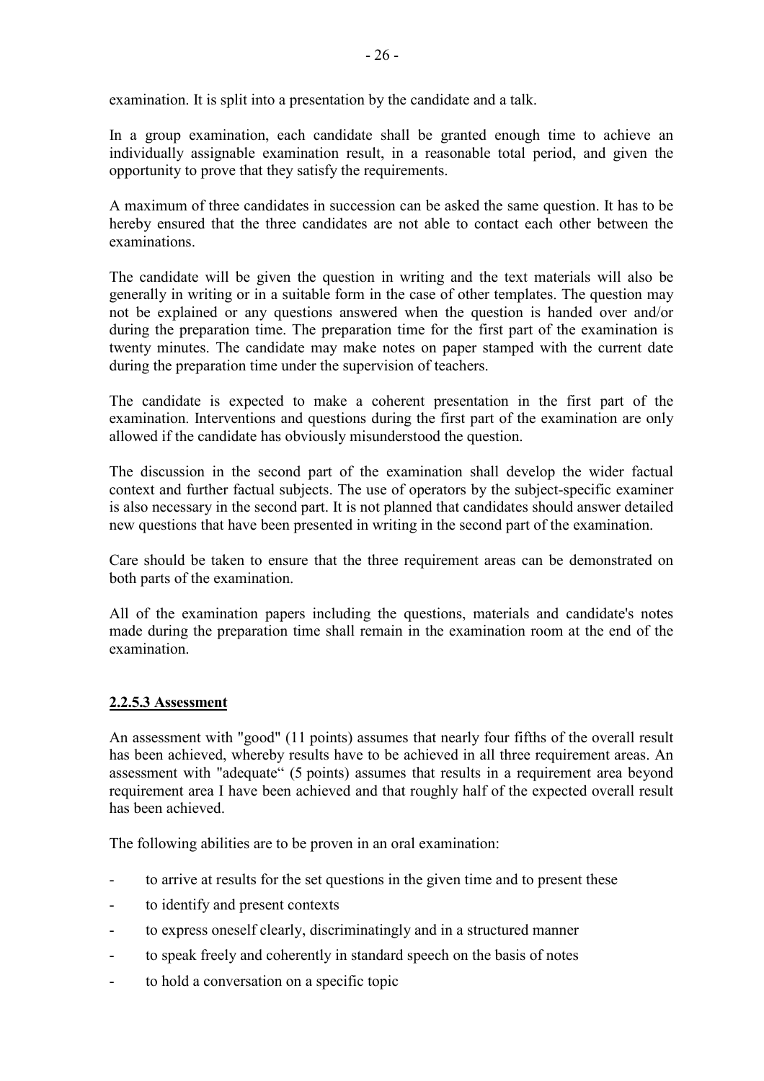examination. It is split into a presentation by the candidate and a talk.

In a group examination, each candidate shall be granted enough time to achieve an individually assignable examination result, in a reasonable total period, and given the opportunity to prove that they satisfy the requirements.

A maximum of three candidates in succession can be asked the same question. It has to be hereby ensured that the three candidates are not able to contact each other between the examinations.

The candidate will be given the question in writing and the text materials will also be generally in writing or in a suitable form in the case of other templates. The question may not be explained or any questions answered when the question is handed over and/or during the preparation time. The preparation time for the first part of the examination is twenty minutes. The candidate may make notes on paper stamped with the current date during the preparation time under the supervision of teachers.

The candidate is expected to make a coherent presentation in the first part of the examination. Interventions and questions during the first part of the examination are only allowed if the candidate has obviously misunderstood the question.

The discussion in the second part of the examination shall develop the wider factual context and further factual subjects. The use of operators by the subject-specific examiner is also necessary in the second part. It is not planned that candidates should answer detailed new questions that have been presented in writing in the second part of the examination.

Care should be taken to ensure that the three requirement areas can be demonstrated on both parts of the examination.

All of the examination papers including the questions, materials and candidate's notes made during the preparation time shall remain in the examination room at the end of the examination.

## **2.2.5.3 Assessment**

An assessment with "good" (11 points) assumes that nearly four fifths of the overall result has been achieved, whereby results have to be achieved in all three requirement areas. An assessment with "adequate" (5 points) assumes that results in a requirement area beyond requirement area I have been achieved and that roughly half of the expected overall result has been achieved.

The following abilities are to be proven in an oral examination:

- to arrive at results for the set questions in the given time and to present these
- to identify and present contexts
- to express oneself clearly, discriminatingly and in a structured manner
- to speak freely and coherently in standard speech on the basis of notes
- to hold a conversation on a specific topic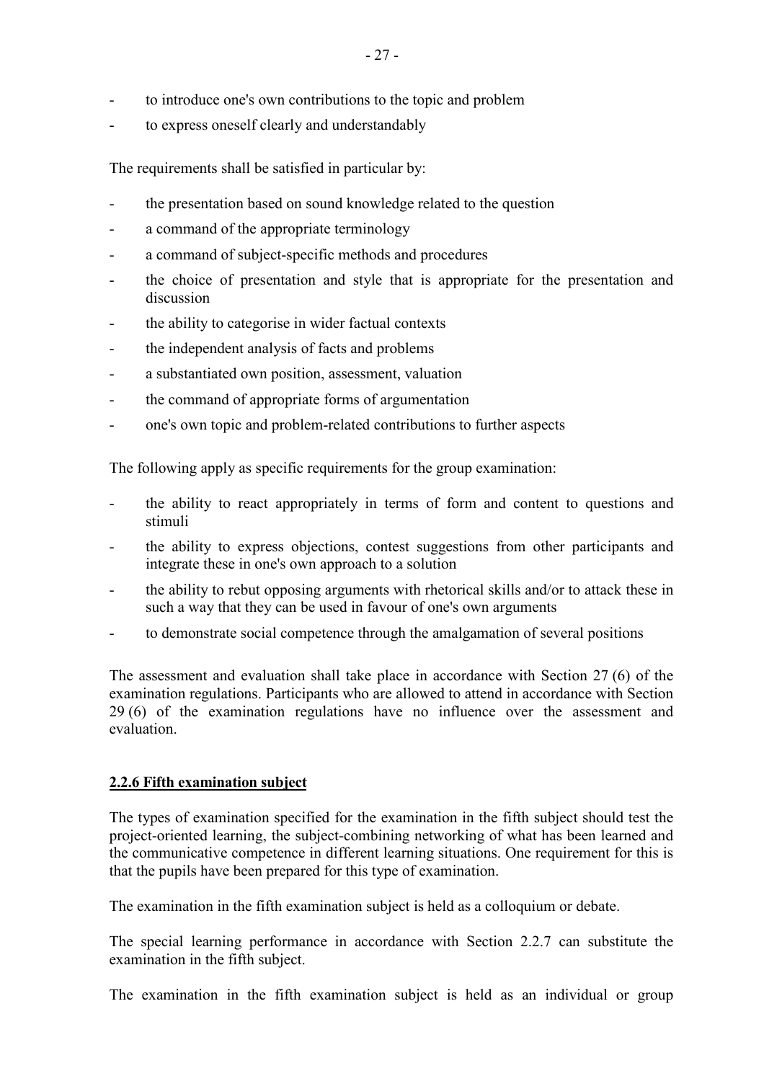- to introduce one's own contributions to the topic and problem
- to express oneself clearly and understandably

The requirements shall be satisfied in particular by:

- the presentation based on sound knowledge related to the question
- a command of the appropriate terminology
- a command of subject-specific methods and procedures
- the choice of presentation and style that is appropriate for the presentation and discussion
- the ability to categorise in wider factual contexts
- the independent analysis of facts and problems
- a substantiated own position, assessment, valuation
- the command of appropriate forms of argumentation
- one's own topic and problem-related contributions to further aspects

The following apply as specific requirements for the group examination:

- the ability to react appropriately in terms of form and content to questions and stimuli
- the ability to express objections, contest suggestions from other participants and integrate these in one's own approach to a solution
- the ability to rebut opposing arguments with rhetorical skills and/or to attack these in such a way that they can be used in favour of one's own arguments
- to demonstrate social competence through the amalgamation of several positions

The assessment and evaluation shall take place in accordance with Section 27 (6) of the examination regulations. Participants who are allowed to attend in accordance with Section 29 (6) of the examination regulations have no influence over the assessment and evaluation.

#### **2.2.6 Fifth examination subject**

The types of examination specified for the examination in the fifth subject should test the project-oriented learning, the subject-combining networking of what has been learned and the communicative competence in different learning situations. One requirement for this is that the pupils have been prepared for this type of examination.

The examination in the fifth examination subject is held as a colloquium or debate.

The special learning performance in accordance with Section 2.2.7 can substitute the examination in the fifth subject.

The examination in the fifth examination subject is held as an individual or group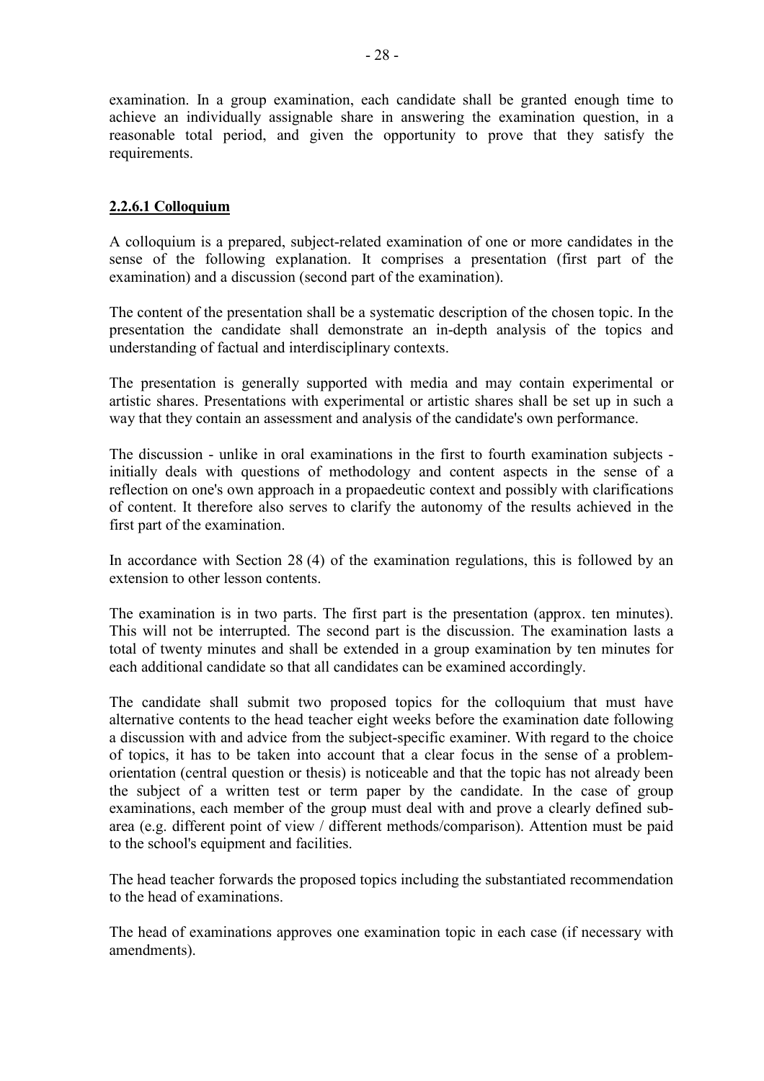examination. In a group examination, each candidate shall be granted enough time to achieve an individually assignable share in answering the examination question, in a reasonable total period, and given the opportunity to prove that they satisfy the requirements.

# **2.2.6.1 Colloquium**

A colloquium is a prepared, subject-related examination of one or more candidates in the sense of the following explanation. It comprises a presentation (first part of the examination) and a discussion (second part of the examination).

The content of the presentation shall be a systematic description of the chosen topic. In the presentation the candidate shall demonstrate an in-depth analysis of the topics and understanding of factual and interdisciplinary contexts.

The presentation is generally supported with media and may contain experimental or artistic shares. Presentations with experimental or artistic shares shall be set up in such a way that they contain an assessment and analysis of the candidate's own performance.

The discussion - unlike in oral examinations in the first to fourth examination subjects initially deals with questions of methodology and content aspects in the sense of a reflection on one's own approach in a propaedeutic context and possibly with clarifications of content. It therefore also serves to clarify the autonomy of the results achieved in the first part of the examination.

In accordance with Section 28 (4) of the examination regulations, this is followed by an extension to other lesson contents.

The examination is in two parts. The first part is the presentation (approx. ten minutes). This will not be interrupted. The second part is the discussion. The examination lasts a total of twenty minutes and shall be extended in a group examination by ten minutes for each additional candidate so that all candidates can be examined accordingly.

The candidate shall submit two proposed topics for the colloquium that must have alternative contents to the head teacher eight weeks before the examination date following a discussion with and advice from the subject-specific examiner. With regard to the choice of topics, it has to be taken into account that a clear focus in the sense of a problemorientation (central question or thesis) is noticeable and that the topic has not already been the subject of a written test or term paper by the candidate. In the case of group examinations, each member of the group must deal with and prove a clearly defined subarea (e.g. different point of view / different methods/comparison). Attention must be paid to the school's equipment and facilities.

The head teacher forwards the proposed topics including the substantiated recommendation to the head of examinations.

The head of examinations approves one examination topic in each case (if necessary with amendments).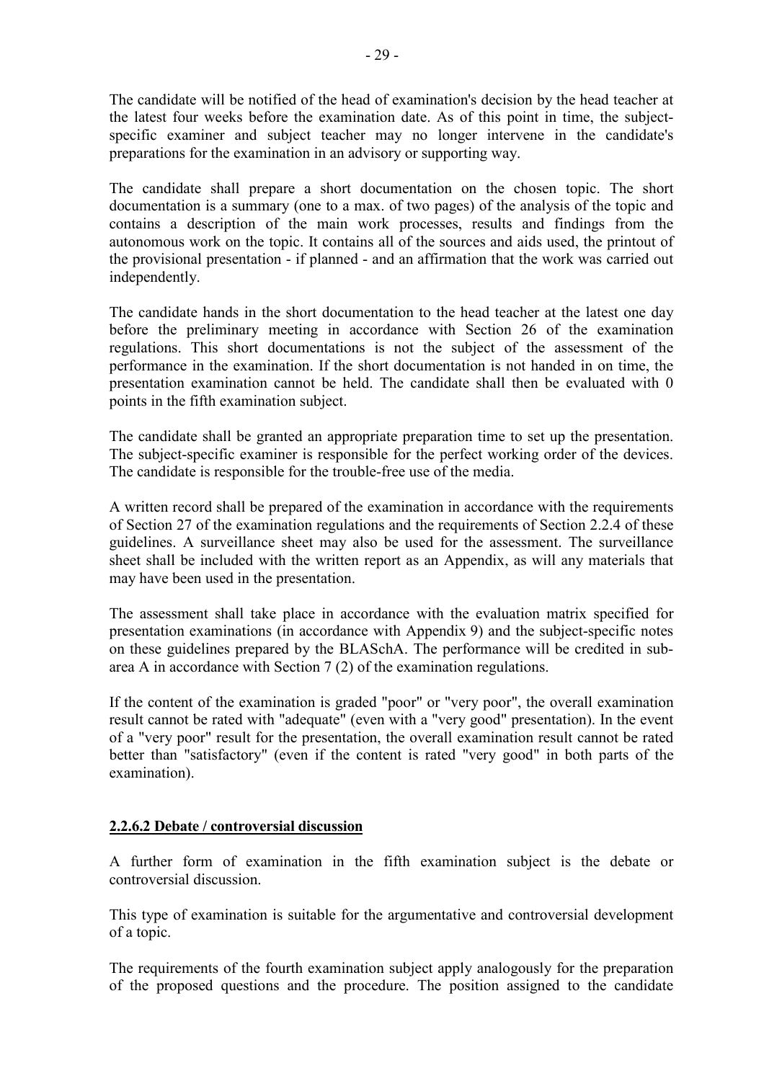The candidate will be notified of the head of examination's decision by the head teacher at the latest four weeks before the examination date. As of this point in time, the subjectspecific examiner and subject teacher may no longer intervene in the candidate's preparations for the examination in an advisory or supporting way.

The candidate shall prepare a short documentation on the chosen topic. The short documentation is a summary (one to a max. of two pages) of the analysis of the topic and contains a description of the main work processes, results and findings from the autonomous work on the topic. It contains all of the sources and aids used, the printout of the provisional presentation - if planned - and an affirmation that the work was carried out independently.

The candidate hands in the short documentation to the head teacher at the latest one day before the preliminary meeting in accordance with Section 26 of the examination regulations. This short documentations is not the subject of the assessment of the performance in the examination. If the short documentation is not handed in on time, the presentation examination cannot be held. The candidate shall then be evaluated with 0 points in the fifth examination subject.

The candidate shall be granted an appropriate preparation time to set up the presentation. The subject-specific examiner is responsible for the perfect working order of the devices. The candidate is responsible for the trouble-free use of the media.

A written record shall be prepared of the examination in accordance with the requirements of Section 27 of the examination regulations and the requirements of Section 2.2.4 of these guidelines. A surveillance sheet may also be used for the assessment. The surveillance sheet shall be included with the written report as an Appendix, as will any materials that may have been used in the presentation.

The assessment shall take place in accordance with the evaluation matrix specified for presentation examinations (in accordance with Appendix 9) and the subject-specific notes on these guidelines prepared by the BLASchA. The performance will be credited in subarea A in accordance with Section 7 (2) of the examination regulations.

If the content of the examination is graded "poor" or "very poor", the overall examination result cannot be rated with "adequate" (even with a "very good" presentation). In the event of a "very poor" result for the presentation, the overall examination result cannot be rated better than "satisfactory" (even if the content is rated "very good" in both parts of the examination).

## **2.2.6.2 Debate / controversial discussion**

A further form of examination in the fifth examination subject is the debate or controversial discussion.

This type of examination is suitable for the argumentative and controversial development of a topic.

The requirements of the fourth examination subject apply analogously for the preparation of the proposed questions and the procedure. The position assigned to the candidate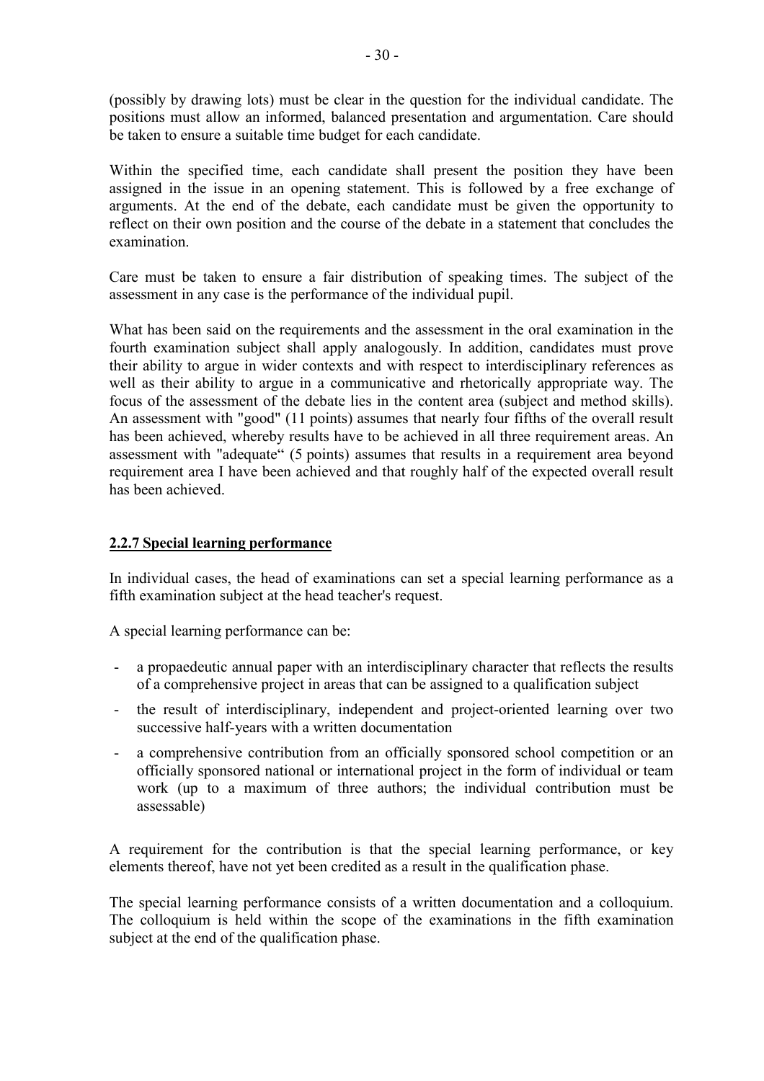(possibly by drawing lots) must be clear in the question for the individual candidate. The positions must allow an informed, balanced presentation and argumentation. Care should be taken to ensure a suitable time budget for each candidate.

Within the specified time, each candidate shall present the position they have been assigned in the issue in an opening statement. This is followed by a free exchange of arguments. At the end of the debate, each candidate must be given the opportunity to reflect on their own position and the course of the debate in a statement that concludes the examination.

Care must be taken to ensure a fair distribution of speaking times. The subject of the assessment in any case is the performance of the individual pupil.

What has been said on the requirements and the assessment in the oral examination in the fourth examination subject shall apply analogously. In addition, candidates must prove their ability to argue in wider contexts and with respect to interdisciplinary references as well as their ability to argue in a communicative and rhetorically appropriate way. The focus of the assessment of the debate lies in the content area (subject and method skills). An assessment with "good" (11 points) assumes that nearly four fifths of the overall result has been achieved, whereby results have to be achieved in all three requirement areas. An assessment with "adequate" (5 points) assumes that results in a requirement area beyond requirement area I have been achieved and that roughly half of the expected overall result has been achieved.

### **2.2.7 Special learning performance**

In individual cases, the head of examinations can set a special learning performance as a fifth examination subject at the head teacher's request.

A special learning performance can be:

- a propaedeutic annual paper with an interdisciplinary character that reflects the results of a comprehensive project in areas that can be assigned to a qualification subject
- the result of interdisciplinary, independent and project-oriented learning over two successive half-years with a written documentation
- a comprehensive contribution from an officially sponsored school competition or an officially sponsored national or international project in the form of individual or team work (up to a maximum of three authors; the individual contribution must be assessable)

A requirement for the contribution is that the special learning performance, or key elements thereof, have not yet been credited as a result in the qualification phase.

The special learning performance consists of a written documentation and a colloquium. The colloquium is held within the scope of the examinations in the fifth examination subject at the end of the qualification phase.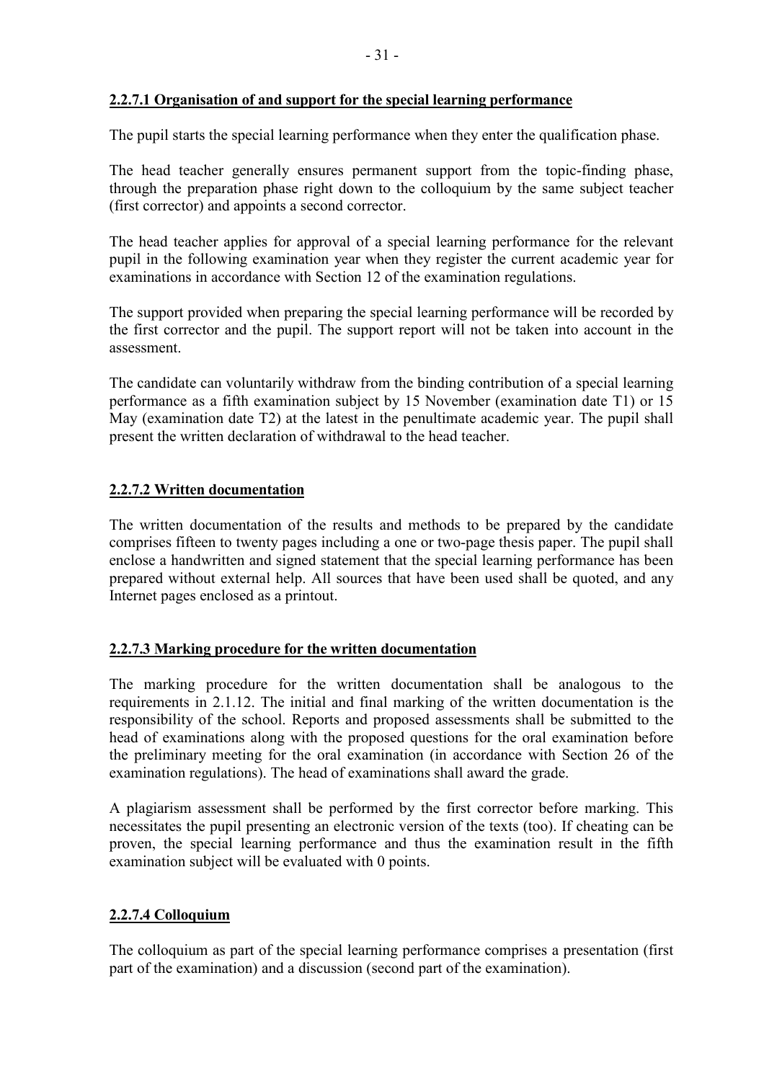## **2.2.7.1 Organisation of and support for the special learning performance**

The pupil starts the special learning performance when they enter the qualification phase.

The head teacher generally ensures permanent support from the topic-finding phase, through the preparation phase right down to the colloquium by the same subject teacher (first corrector) and appoints a second corrector.

The head teacher applies for approval of a special learning performance for the relevant pupil in the following examination year when they register the current academic year for examinations in accordance with Section 12 of the examination regulations.

The support provided when preparing the special learning performance will be recorded by the first corrector and the pupil. The support report will not be taken into account in the assessment.

The candidate can voluntarily withdraw from the binding contribution of a special learning performance as a fifth examination subject by 15 November (examination date T1) or 15 May (examination date T2) at the latest in the penultimate academic year. The pupil shall present the written declaration of withdrawal to the head teacher.

### **2.2.7.2 Written documentation**

The written documentation of the results and methods to be prepared by the candidate comprises fifteen to twenty pages including a one or two-page thesis paper. The pupil shall enclose a handwritten and signed statement that the special learning performance has been prepared without external help. All sources that have been used shall be quoted, and any Internet pages enclosed as a printout.

#### **2.2.7.3 Marking procedure for the written documentation**

The marking procedure for the written documentation shall be analogous to the requirements in 2.1.12. The initial and final marking of the written documentation is the responsibility of the school. Reports and proposed assessments shall be submitted to the head of examinations along with the proposed questions for the oral examination before the preliminary meeting for the oral examination (in accordance with Section 26 of the examination regulations). The head of examinations shall award the grade.

A plagiarism assessment shall be performed by the first corrector before marking. This necessitates the pupil presenting an electronic version of the texts (too). If cheating can be proven, the special learning performance and thus the examination result in the fifth examination subject will be evaluated with 0 points.

## **2.2.7.4 Colloquium**

The colloquium as part of the special learning performance comprises a presentation (first part of the examination) and a discussion (second part of the examination).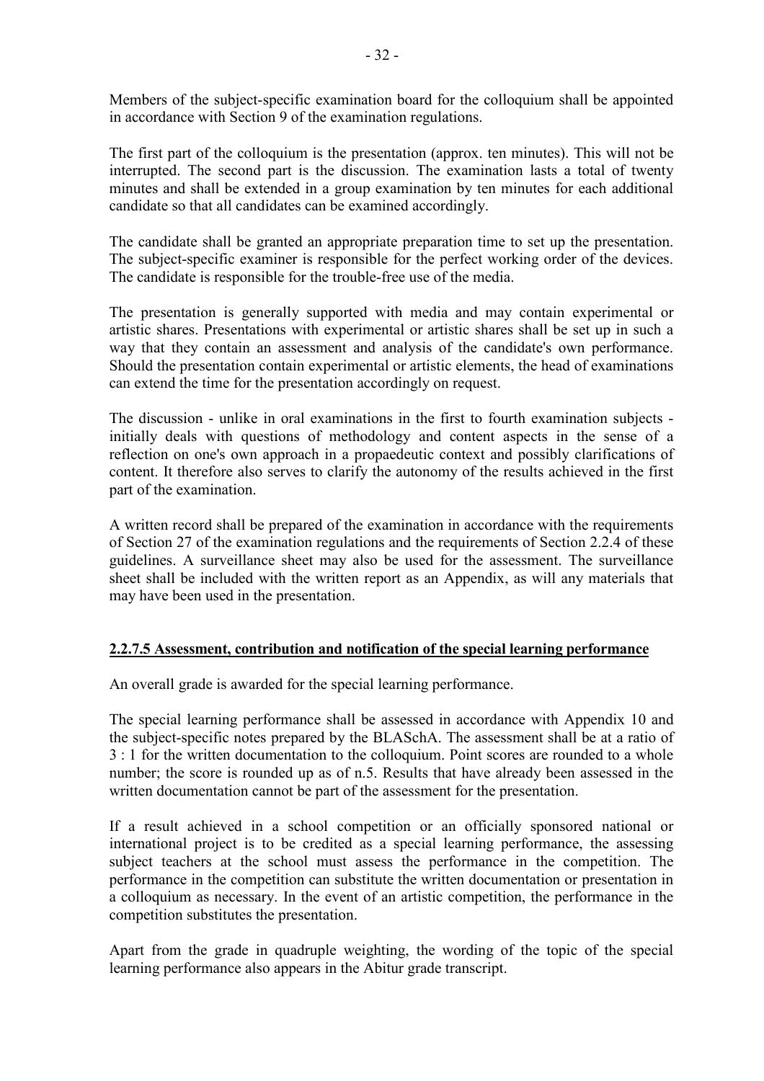Members of the subject-specific examination board for the colloquium shall be appointed in accordance with Section 9 of the examination regulations.

The first part of the colloquium is the presentation (approx. ten minutes). This will not be interrupted. The second part is the discussion. The examination lasts a total of twenty minutes and shall be extended in a group examination by ten minutes for each additional candidate so that all candidates can be examined accordingly.

The candidate shall be granted an appropriate preparation time to set up the presentation. The subject-specific examiner is responsible for the perfect working order of the devices. The candidate is responsible for the trouble-free use of the media.

The presentation is generally supported with media and may contain experimental or artistic shares. Presentations with experimental or artistic shares shall be set up in such a way that they contain an assessment and analysis of the candidate's own performance. Should the presentation contain experimental or artistic elements, the head of examinations can extend the time for the presentation accordingly on request.

The discussion - unlike in oral examinations in the first to fourth examination subjects initially deals with questions of methodology and content aspects in the sense of a reflection on one's own approach in a propaedeutic context and possibly clarifications of content. It therefore also serves to clarify the autonomy of the results achieved in the first part of the examination.

A written record shall be prepared of the examination in accordance with the requirements of Section 27 of the examination regulations and the requirements of Section 2.2.4 of these guidelines. A surveillance sheet may also be used for the assessment. The surveillance sheet shall be included with the written report as an Appendix, as will any materials that may have been used in the presentation.

## **2.2.7.5 Assessment, contribution and notification of the special learning performance**

An overall grade is awarded for the special learning performance.

The special learning performance shall be assessed in accordance with Appendix 10 and the subject-specific notes prepared by the BLASchA. The assessment shall be at a ratio of 3 : 1 for the written documentation to the colloquium. Point scores are rounded to a whole number; the score is rounded up as of n.5. Results that have already been assessed in the written documentation cannot be part of the assessment for the presentation.

If a result achieved in a school competition or an officially sponsored national or international project is to be credited as a special learning performance, the assessing subject teachers at the school must assess the performance in the competition. The performance in the competition can substitute the written documentation or presentation in a colloquium as necessary. In the event of an artistic competition, the performance in the competition substitutes the presentation.

Apart from the grade in quadruple weighting, the wording of the topic of the special learning performance also appears in the Abitur grade transcript.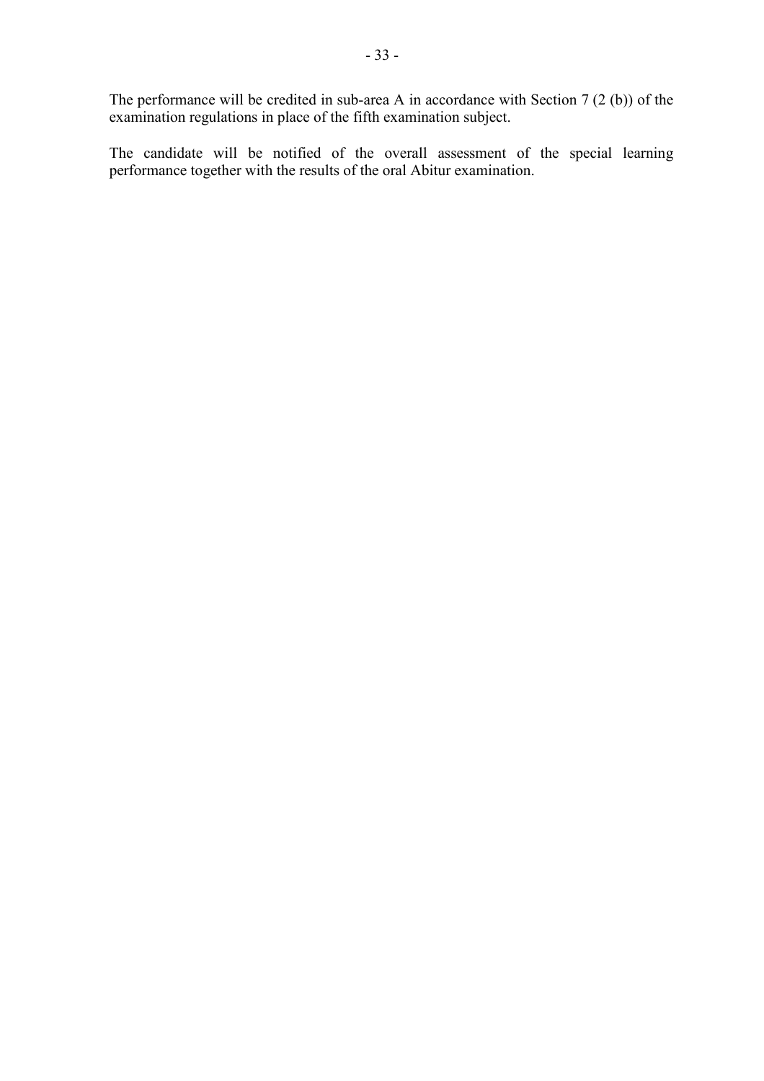The performance will be credited in sub-area A in accordance with Section 7 (2 (b)) of the examination regulations in place of the fifth examination subject.

The candidate will be notified of the overall assessment of the special learning performance together with the results of the oral Abitur examination.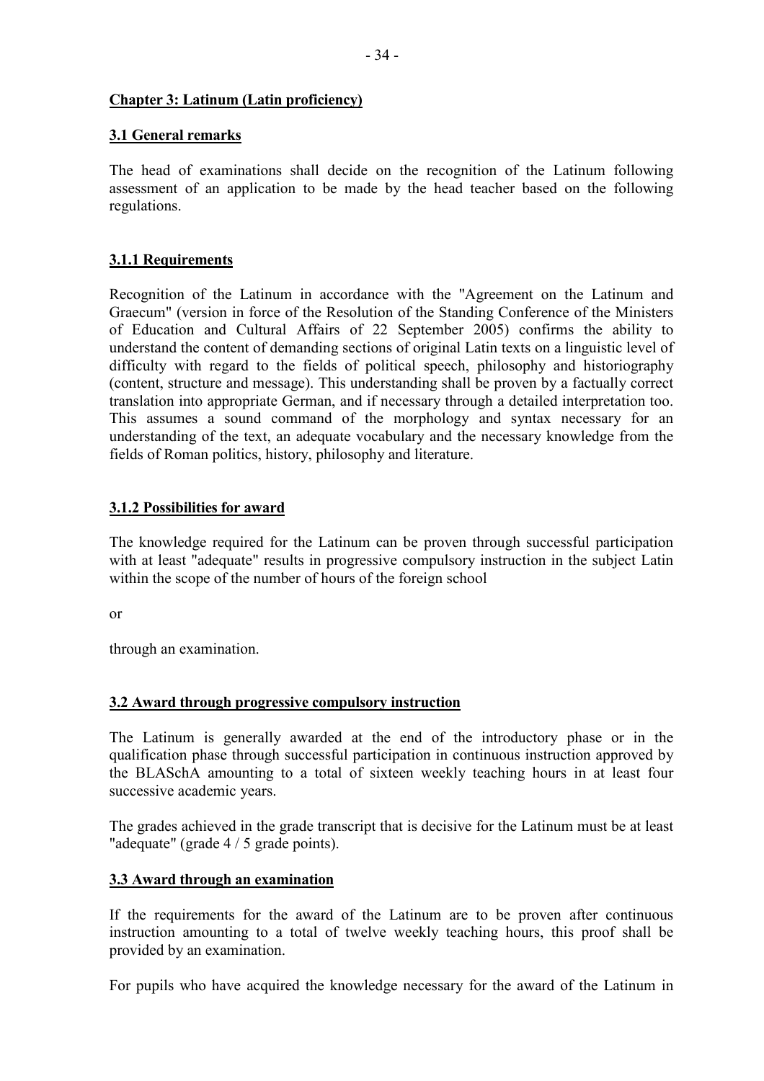## **Chapter 3: Latinum (Latin proficiency)**

### **3.1 General remarks**

The head of examinations shall decide on the recognition of the Latinum following assessment of an application to be made by the head teacher based on the following regulations.

### **3.1.1 Requirements**

Recognition of the Latinum in accordance with the "Agreement on the Latinum and Graecum" (version in force of the Resolution of the Standing Conference of the Ministers of Education and Cultural Affairs of 22 September 2005) confirms the ability to understand the content of demanding sections of original Latin texts on a linguistic level of difficulty with regard to the fields of political speech, philosophy and historiography (content, structure and message). This understanding shall be proven by a factually correct translation into appropriate German, and if necessary through a detailed interpretation too. This assumes a sound command of the morphology and syntax necessary for an understanding of the text, an adequate vocabulary and the necessary knowledge from the fields of Roman politics, history, philosophy and literature.

### **3.1.2 Possibilities for award**

The knowledge required for the Latinum can be proven through successful participation with at least "adequate" results in progressive compulsory instruction in the subject Latin within the scope of the number of hours of the foreign school

or

through an examination.

## **3.2 Award through progressive compulsory instruction**

The Latinum is generally awarded at the end of the introductory phase or in the qualification phase through successful participation in continuous instruction approved by the BLASchA amounting to a total of sixteen weekly teaching hours in at least four successive academic years.

The grades achieved in the grade transcript that is decisive for the Latinum must be at least "adequate" (grade 4 / 5 grade points).

#### **3.3 Award through an examination**

If the requirements for the award of the Latinum are to be proven after continuous instruction amounting to a total of twelve weekly teaching hours, this proof shall be provided by an examination.

For pupils who have acquired the knowledge necessary for the award of the Latinum in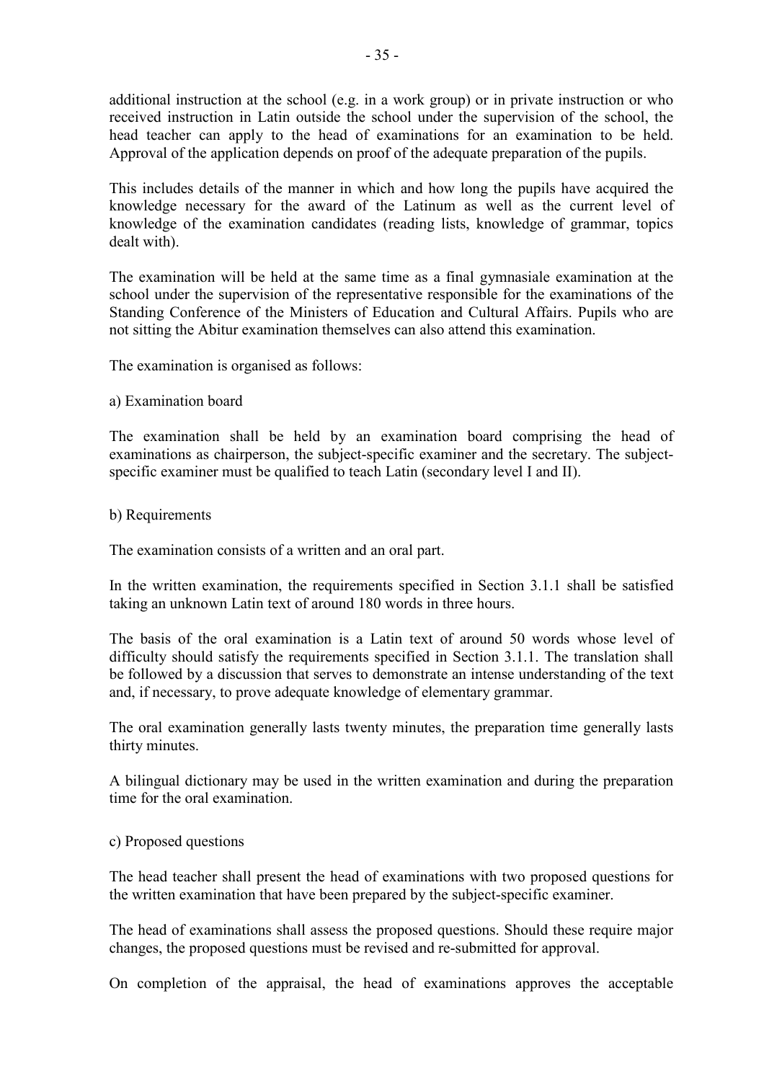additional instruction at the school (e.g. in a work group) or in private instruction or who received instruction in Latin outside the school under the supervision of the school, the head teacher can apply to the head of examinations for an examination to be held. Approval of the application depends on proof of the adequate preparation of the pupils.

This includes details of the manner in which and how long the pupils have acquired the knowledge necessary for the award of the Latinum as well as the current level of knowledge of the examination candidates (reading lists, knowledge of grammar, topics dealt with).

The examination will be held at the same time as a final gymnasiale examination at the school under the supervision of the representative responsible for the examinations of the Standing Conference of the Ministers of Education and Cultural Affairs. Pupils who are not sitting the Abitur examination themselves can also attend this examination.

The examination is organised as follows:

#### a) Examination board

The examination shall be held by an examination board comprising the head of examinations as chairperson, the subject-specific examiner and the secretary. The subjectspecific examiner must be qualified to teach Latin (secondary level I and II).

#### b) Requirements

The examination consists of a written and an oral part.

In the written examination, the requirements specified in Section 3.1.1 shall be satisfied taking an unknown Latin text of around 180 words in three hours.

The basis of the oral examination is a Latin text of around 50 words whose level of difficulty should satisfy the requirements specified in Section 3.1.1. The translation shall be followed by a discussion that serves to demonstrate an intense understanding of the text and, if necessary, to prove adequate knowledge of elementary grammar.

The oral examination generally lasts twenty minutes, the preparation time generally lasts thirty minutes.

A bilingual dictionary may be used in the written examination and during the preparation time for the oral examination.

#### c) Proposed questions

The head teacher shall present the head of examinations with two proposed questions for the written examination that have been prepared by the subject-specific examiner.

The head of examinations shall assess the proposed questions. Should these require major changes, the proposed questions must be revised and re-submitted for approval.

On completion of the appraisal, the head of examinations approves the acceptable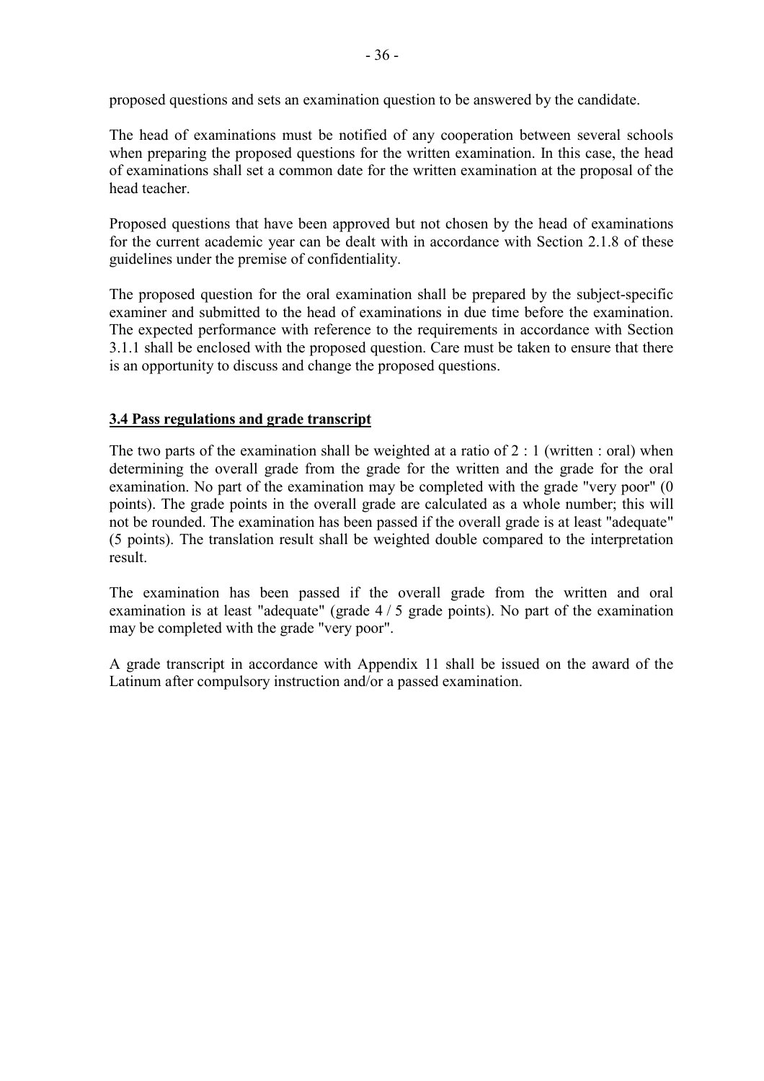proposed questions and sets an examination question to be answered by the candidate.

The head of examinations must be notified of any cooperation between several schools when preparing the proposed questions for the written examination. In this case, the head of examinations shall set a common date for the written examination at the proposal of the head teacher.

Proposed questions that have been approved but not chosen by the head of examinations for the current academic year can be dealt with in accordance with Section 2.1.8 of these guidelines under the premise of confidentiality.

The proposed question for the oral examination shall be prepared by the subject-specific examiner and submitted to the head of examinations in due time before the examination. The expected performance with reference to the requirements in accordance with Section 3.1.1 shall be enclosed with the proposed question. Care must be taken to ensure that there is an opportunity to discuss and change the proposed questions.

### **3.4 Pass regulations and grade transcript**

The two parts of the examination shall be weighted at a ratio of  $2:1$  (written : oral) when determining the overall grade from the grade for the written and the grade for the oral examination. No part of the examination may be completed with the grade "very poor" (0 points). The grade points in the overall grade are calculated as a whole number; this will not be rounded. The examination has been passed if the overall grade is at least "adequate" (5 points). The translation result shall be weighted double compared to the interpretation result.

The examination has been passed if the overall grade from the written and oral examination is at least "adequate" (grade  $4/5$  grade points). No part of the examination may be completed with the grade "very poor".

A grade transcript in accordance with Appendix 11 shall be issued on the award of the Latinum after compulsory instruction and/or a passed examination.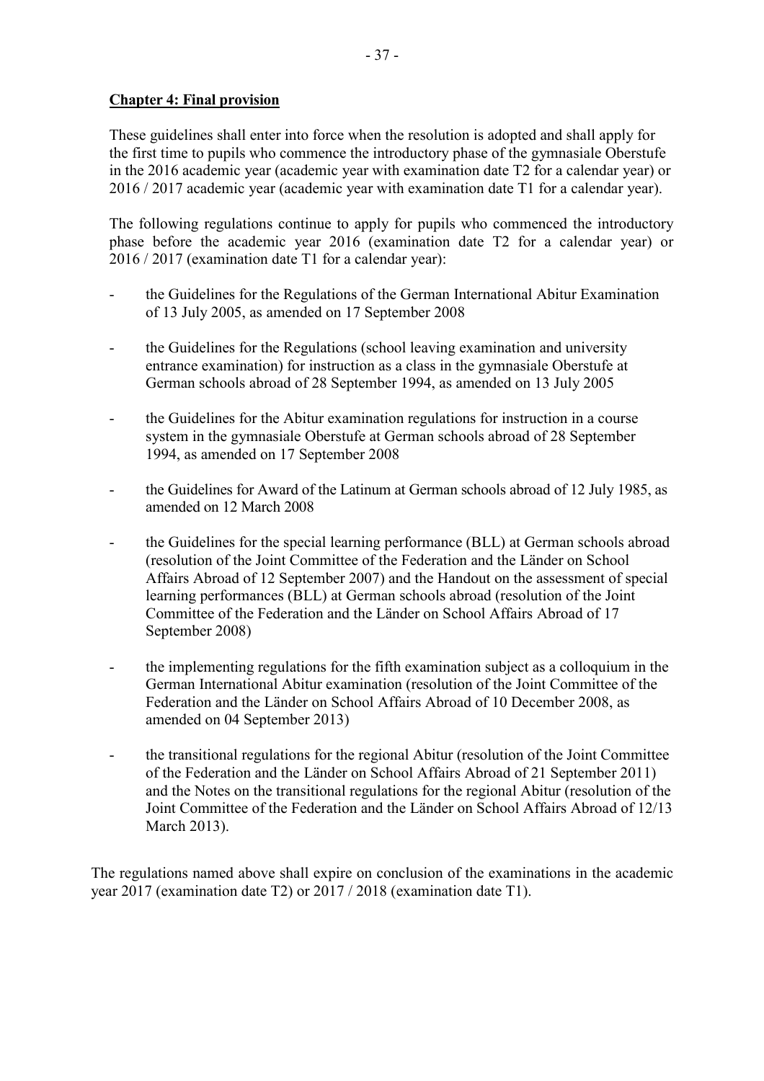## **Chapter 4: Final provision**

These guidelines shall enter into force when the resolution is adopted and shall apply for the first time to pupils who commence the introductory phase of the gymnasiale Oberstufe in the 2016 academic year (academic year with examination date T2 for a calendar year) or 2016 / 2017 academic year (academic year with examination date T1 for a calendar year).

The following regulations continue to apply for pupils who commenced the introductory phase before the academic year 2016 (examination date T2 for a calendar year) or 2016 / 2017 (examination date T1 for a calendar year):

- the Guidelines for the Regulations of the German International Abitur Examination of 13 July 2005, as amended on 17 September 2008
- the Guidelines for the Regulations (school leaving examination and university entrance examination) for instruction as a class in the gymnasiale Oberstufe at German schools abroad of 28 September 1994, as amended on 13 July 2005
- the Guidelines for the Abitur examination regulations for instruction in a course system in the gymnasiale Oberstufe at German schools abroad of 28 September 1994, as amended on 17 September 2008
- the Guidelines for Award of the Latinum at German schools abroad of 12 July 1985, as amended on 12 March 2008
- the Guidelines for the special learning performance (BLL) at German schools abroad (resolution of the Joint Committee of the Federation and the Länder on School Affairs Abroad of 12 September 2007) and the Handout on the assessment of special learning performances (BLL) at German schools abroad (resolution of the Joint Committee of the Federation and the Länder on School Affairs Abroad of 17 September 2008)
- the implementing regulations for the fifth examination subject as a colloquium in the German International Abitur examination (resolution of the Joint Committee of the Federation and the Länder on School Affairs Abroad of 10 December 2008, as amended on 04 September 2013)
- the transitional regulations for the regional Abitur (resolution of the Joint Committee of the Federation and the Länder on School Affairs Abroad of 21 September 2011) and the Notes on the transitional regulations for the regional Abitur (resolution of the Joint Committee of the Federation and the Länder on School Affairs Abroad of 12/13 March 2013).

The regulations named above shall expire on conclusion of the examinations in the academic year 2017 (examination date T2) or 2017 / 2018 (examination date T1).